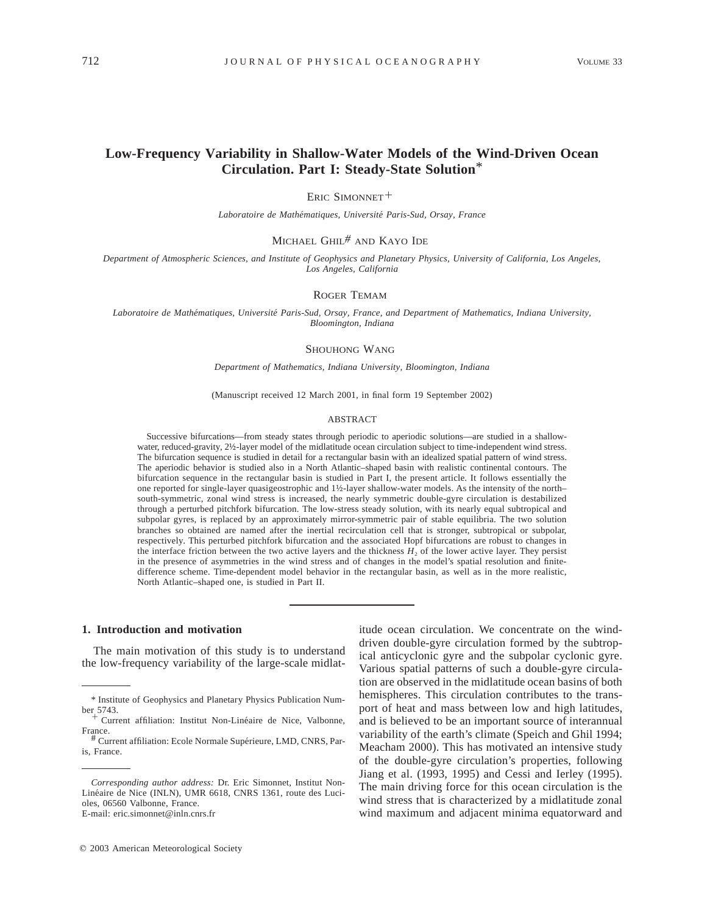# **Low-Frequency Variability in Shallow-Water Models of the Wind-Driven Ocean Circulation. Part I: Steady-State Solution**\*

ERIC SIMONNET<sup>+</sup>

*Laboratoire de Mathe´matiques, Universite´ Paris-Sud, Orsay, France*

MICHAEL GHIL*#* AND KAYO IDE

*Department of Atmospheric Sciences, and Institute of Geophysics and Planetary Physics, University of California, Los Angeles, Los Angeles, California*

#### ROGER TEMAM

*Laboratoire de Mathe´matiques, Universite´ Paris-Sud, Orsay, France, and Department of Mathematics, Indiana University, Bloomington, Indiana*

#### SHOUHONG WANG

*Department of Mathematics, Indiana University, Bloomington, Indiana*

(Manuscript received 12 March 2001, in final form 19 September 2002)

#### ABSTRACT

Successive bifurcations—from steady states through periodic to aperiodic solutions—are studied in a shallowwater, reduced-gravity, 2½-layer model of the midlatitude ocean circulation subject to time-independent wind stress. The bifurcation sequence is studied in detail for a rectangular basin with an idealized spatial pattern of wind stress. The aperiodic behavior is studied also in a North Atlantic–shaped basin with realistic continental contours. The bifurcation sequence in the rectangular basin is studied in Part I, the present article. It follows essentially the one reported for single-layer quasigeostrophic and 1½-layer shallow-water models. As the intensity of the north– south-symmetric, zonal wind stress is increased, the nearly symmetric double-gyre circulation is destabilized through a perturbed pitchfork bifurcation. The low-stress steady solution, with its nearly equal subtropical and subpolar gyres, is replaced by an approximately mirror-symmetric pair of stable equilibria. The two solution branches so obtained are named after the inertial recirculation cell that is stronger, subtropical or subpolar, respectively. This perturbed pitchfork bifurcation and the associated Hopf bifurcations are robust to changes in the interface friction between the two active layers and the thickness  $H_2$  of the lower active layer. They persist in the presence of asymmetries in the wind stress and of changes in the model's spatial resolution and finitedifference scheme. Time-dependent model behavior in the rectangular basin, as well as in the more realistic, North Atlantic–shaped one, is studied in Part II.

#### **1. Introduction and motivation**

The main motivation of this study is to understand the low-frequency variability of the large-scale midlat-

 $© 2003$  American Meteorological Society

itude ocean circulation. We concentrate on the winddriven double-gyre circulation formed by the subtropical anticyclonic gyre and the subpolar cyclonic gyre. Various spatial patterns of such a double-gyre circulation are observed in the midlatitude ocean basins of both hemispheres. This circulation contributes to the transport of heat and mass between low and high latitudes, and is believed to be an important source of interannual variability of the earth's climate (Speich and Ghil 1994; Meacham 2000). This has motivated an intensive study of the double-gyre circulation's properties, following Jiang et al. (1993, 1995) and Cessi and Ierley (1995). The main driving force for this ocean circulation is the wind stress that is characterized by a midlatitude zonal wind maximum and adjacent minima equatorward and

<sup>\*</sup> Institute of Geophysics and Planetary Physics Publication Number 5743.

<sup>&</sup>lt;sup>-</sup> Current affiliation: Institut Non-Linéaire de Nice, Valbonne, France.

<sup>#</sup> Current affiliation: Ecole Normale Supérieure, LMD, CNRS, Paris, France.

*Corresponding author address:* Dr. Eric Simonnet, Institut Non-Linéaire de Nice (INLN), UMR 6618, CNRS 1361, route des Lucioles, 06560 Valbonne, France. E-mail: eric.simonnet@inln.cnrs.fr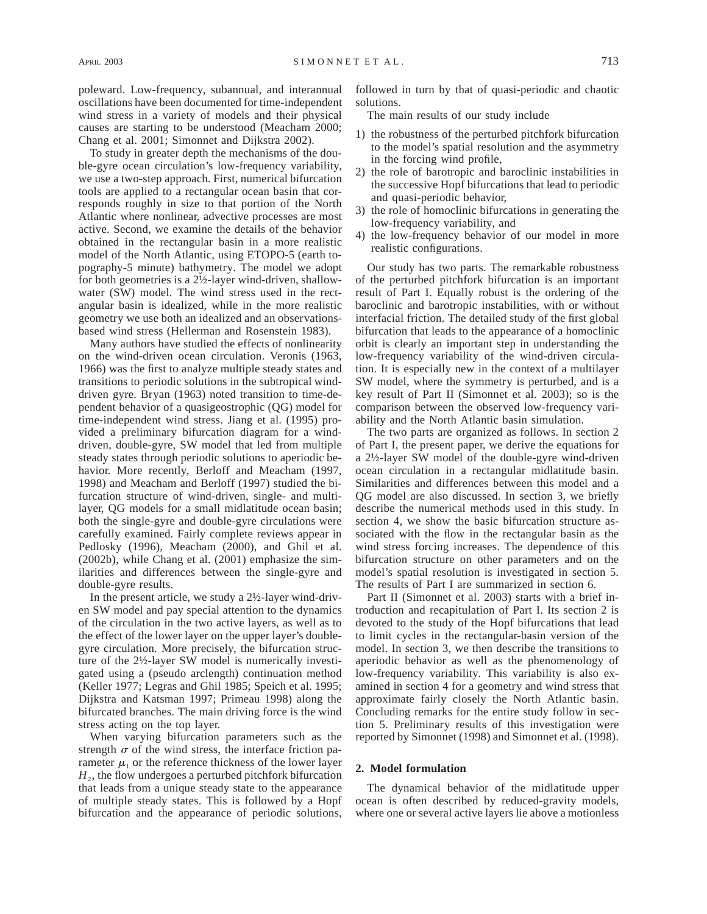poleward. Low-frequency, subannual, and interannual oscillations have been documented for time-independent wind stress in a variety of models and their physical causes are starting to be understood (Meacham 2000; Chang et al. 2001; Simonnet and Dijkstra 2002).

To study in greater depth the mechanisms of the double-gyre ocean circulation's low-frequency variability, we use a two-step approach. First, numerical bifurcation tools are applied to a rectangular ocean basin that corresponds roughly in size to that portion of the North Atlantic where nonlinear, advective processes are most active. Second, we examine the details of the behavior obtained in the rectangular basin in a more realistic model of the North Atlantic, using ETOPO-5 (earth topography-5 minute) bathymetry. The model we adopt for both geometries is a 2½-layer wind-driven, shallowwater (SW) model. The wind stress used in the rectangular basin is idealized, while in the more realistic geometry we use both an idealized and an observationsbased wind stress (Hellerman and Rosenstein 1983).

Many authors have studied the effects of nonlinearity on the wind-driven ocean circulation. Veronis (1963, 1966) was the first to analyze multiple steady states and transitions to periodic solutions in the subtropical winddriven gyre. Bryan (1963) noted transition to time-dependent behavior of a quasigeostrophic (QG) model for time-independent wind stress. Jiang et al. (1995) provided a preliminary bifurcation diagram for a winddriven, double-gyre, SW model that led from multiple steady states through periodic solutions to aperiodic behavior. More recently, Berloff and Meacham (1997, 1998) and Meacham and Berloff (1997) studied the bifurcation structure of wind-driven, single- and multilayer, QG models for a small midlatitude ocean basin; both the single-gyre and double-gyre circulations were carefully examined. Fairly complete reviews appear in Pedlosky (1996), Meacham (2000), and Ghil et al. (2002b), while Chang et al. (2001) emphasize the similarities and differences between the single-gyre and double-gyre results.

In the present article, we study a 2½-layer wind-driven SW model and pay special attention to the dynamics of the circulation in the two active layers, as well as to the effect of the lower layer on the upper layer's doublegyre circulation. More precisely, the bifurcation structure of the 2½-layer SW model is numerically investigated using a (pseudo arclength) continuation method (Keller 1977; Legras and Ghil 1985; Speich et al. 1995; Dijkstra and Katsman 1997; Primeau 1998) along the bifurcated branches. The main driving force is the wind stress acting on the top layer.

When varying bifurcation parameters such as the strength  $\sigma$  of the wind stress, the interface friction parameter  $\mu_1$  or the reference thickness of the lower layer  $H<sub>2</sub>$ , the flow undergoes a perturbed pitchfork bifurcation that leads from a unique steady state to the appearance of multiple steady states. This is followed by a Hopf bifurcation and the appearance of periodic solutions,

followed in turn by that of quasi-periodic and chaotic solutions.

The main results of our study include

- 1) the robustness of the perturbed pitchfork bifurcation to the model's spatial resolution and the asymmetry in the forcing wind profile,
- 2) the role of barotropic and baroclinic instabilities in the successive Hopf bifurcations that lead to periodic and quasi-periodic behavior,
- 3) the role of homoclinic bifurcations in generating the low-frequency variability, and
- 4) the low-frequency behavior of our model in more realistic configurations.

Our study has two parts. The remarkable robustness of the perturbed pitchfork bifurcation is an important result of Part I. Equally robust is the ordering of the baroclinic and barotropic instabilities, with or without interfacial friction. The detailed study of the first global bifurcation that leads to the appearance of a homoclinic orbit is clearly an important step in understanding the low-frequency variability of the wind-driven circulation. It is especially new in the context of a multilayer SW model, where the symmetry is perturbed, and is a key result of Part II (Simonnet et al. 2003); so is the comparison between the observed low-frequency variability and the North Atlantic basin simulation.

The two parts are organized as follows. In section 2 of Part I, the present paper, we derive the equations for a 2½-layer SW model of the double-gyre wind-driven ocean circulation in a rectangular midlatitude basin. Similarities and differences between this model and a QG model are also discussed. In section 3, we briefly describe the numerical methods used in this study. In section 4, we show the basic bifurcation structure associated with the flow in the rectangular basin as the wind stress forcing increases. The dependence of this bifurcation structure on other parameters and on the model's spatial resolution is investigated in section 5. The results of Part I are summarized in section 6.

Part II (Simonnet et al. 2003) starts with a brief introduction and recapitulation of Part I. Its section 2 is devoted to the study of the Hopf bifurcations that lead to limit cycles in the rectangular-basin version of the model. In section 3, we then describe the transitions to aperiodic behavior as well as the phenomenology of low-frequency variability. This variability is also examined in section 4 for a geometry and wind stress that approximate fairly closely the North Atlantic basin. Concluding remarks for the entire study follow in section 5. Preliminary results of this investigation were reported by Simonnet (1998) and Simonnet et al. (1998).

# **2. Model formulation**

The dynamical behavior of the midlatitude upper ocean is often described by reduced-gravity models, where one or several active layers lie above a motionless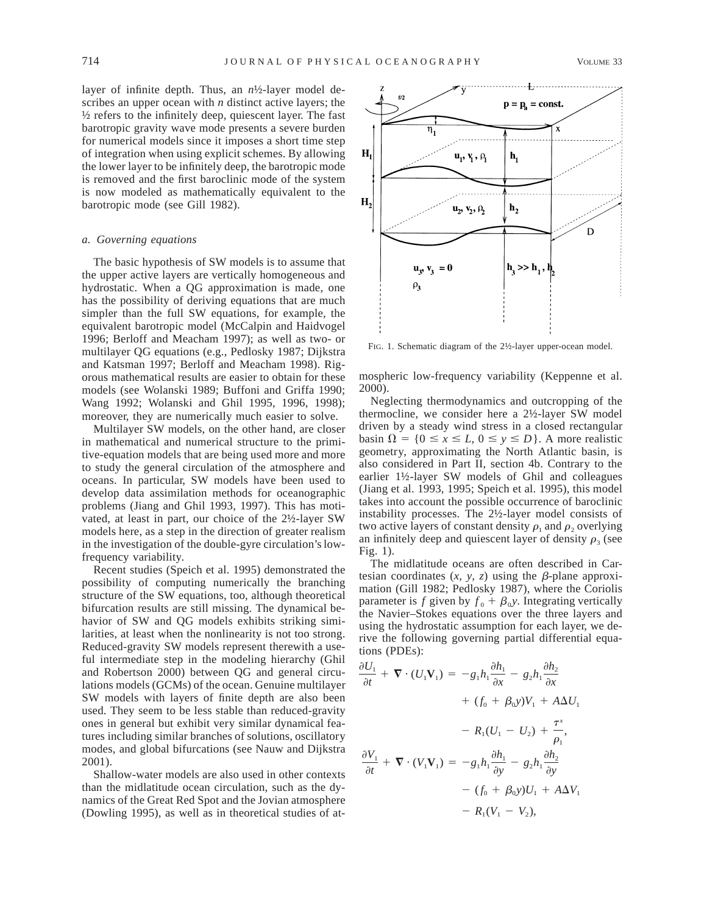layer of infinite depth. Thus, an *n*½-layer model describes an upper ocean with *n* distinct active layers; the  $\frac{1}{2}$  refers to the infinitely deep, quiescent layer. The fast barotropic gravity wave mode presents a severe burden for numerical models since it imposes a short time step of integration when using explicit schemes. By allowing the lower layer to be infinitely deep, the barotropic mode is removed and the first baroclinic mode of the system is now modeled as mathematically equivalent to the barotropic mode (see Gill 1982).

## *a. Governing equations*

The basic hypothesis of SW models is to assume that the upper active layers are vertically homogeneous and hydrostatic. When a QG approximation is made, one has the possibility of deriving equations that are much simpler than the full SW equations, for example, the equivalent barotropic model (McCalpin and Haidvogel 1996; Berloff and Meacham 1997); as well as two- or multilayer QG equations (e.g., Pedlosky 1987; Dijkstra and Katsman 1997; Berloff and Meacham 1998). Rigorous mathematical results are easier to obtain for these models (see Wolanski 1989; Buffoni and Griffa 1990; Wang 1992; Wolanski and Ghil 1995, 1996, 1998); moreover, they are numerically much easier to solve.

Multilayer SW models, on the other hand, are closer in mathematical and numerical structure to the primitive-equation models that are being used more and more to study the general circulation of the atmosphere and oceans. In particular, SW models have been used to develop data assimilation methods for oceanographic problems (Jiang and Ghil 1993, 1997). This has motivated, at least in part, our choice of the 2½-layer SW models here, as a step in the direction of greater realism in the investigation of the double-gyre circulation's lowfrequency variability.

Recent studies (Speich et al. 1995) demonstrated the possibility of computing numerically the branching structure of the SW equations, too, although theoretical bifurcation results are still missing. The dynamical behavior of SW and QG models exhibits striking similarities, at least when the nonlinearity is not too strong. Reduced-gravity SW models represent therewith a useful intermediate step in the modeling hierarchy (Ghil and Robertson 2000) between QG and general circulations models (GCMs) of the ocean. Genuine multilayer SW models with layers of finite depth are also been used. They seem to be less stable than reduced-gravity ones in general but exhibit very similar dynamical features including similar branches of solutions, oscillatory modes, and global bifurcations (see Nauw and Dijkstra 2001).

Shallow-water models are also used in other contexts than the midlatitude ocean circulation, such as the dynamics of the Great Red Spot and the Jovian atmosphere (Dowling 1995), as well as in theoretical studies of at-



FIG. 1. Schematic diagram of the 2½-layer upper-ocean model.

mospheric low-frequency variability (Keppenne et al. 2000).

Neglecting thermodynamics and outcropping of the thermocline, we consider here a 2½-layer SW model driven by a steady wind stress in a closed rectangular basin  $\Omega = \{0 \le x \le L, 0 \le y \le D\}$ . A more realistic geometry, approximating the North Atlantic basin, is also considered in Part II, section 4b. Contrary to the earlier 1½-layer SW models of Ghil and colleagues (Jiang et al. 1993, 1995; Speich et al. 1995), this model takes into account the possible occurrence of baroclinic instability processes. The 2½-layer model consists of two active layers of constant density  $\rho_1$  and  $\rho_2$  overlying an infinitely deep and quiescent layer of density  $\rho_3$  (see Fig. 1).

The midlatitude oceans are often described in Cartesian coordinates  $(x, y, z)$  using the  $\beta$ -plane approximation (Gill 1982; Pedlosky 1987), where the Coriolis parameter is *f* given by  $f_0 + \beta_0 y$ . Integrating vertically the Navier–Stokes equations over the three layers and using the hydrostatic assumption for each layer, we derive the following governing partial differential equations (PDEs):

$$
\frac{\partial U_1}{\partial t} + \nabla \cdot (U_1 \mathbf{V}_1) = -g_1 h_1 \frac{\partial h_1}{\partial x} - g_2 h_1 \frac{\partial h_2}{\partial x} \n+ (f_0 + \beta_0 y) V_1 + A \Delta U_1 \n- R_1 (U_1 - U_2) + \frac{\tau^x}{\rho_1}, \n\frac{\partial V_1}{\partial t} + \nabla \cdot (V_1 \mathbf{V}_1) = -g_1 h_1 \frac{\partial h_1}{\partial y} - g_2 h_1 \frac{\partial h_2}{\partial y} \n- (f_0 + \beta_0 y) U_1 + A \Delta V_1 \n- R_1 (V_1 - V_2),
$$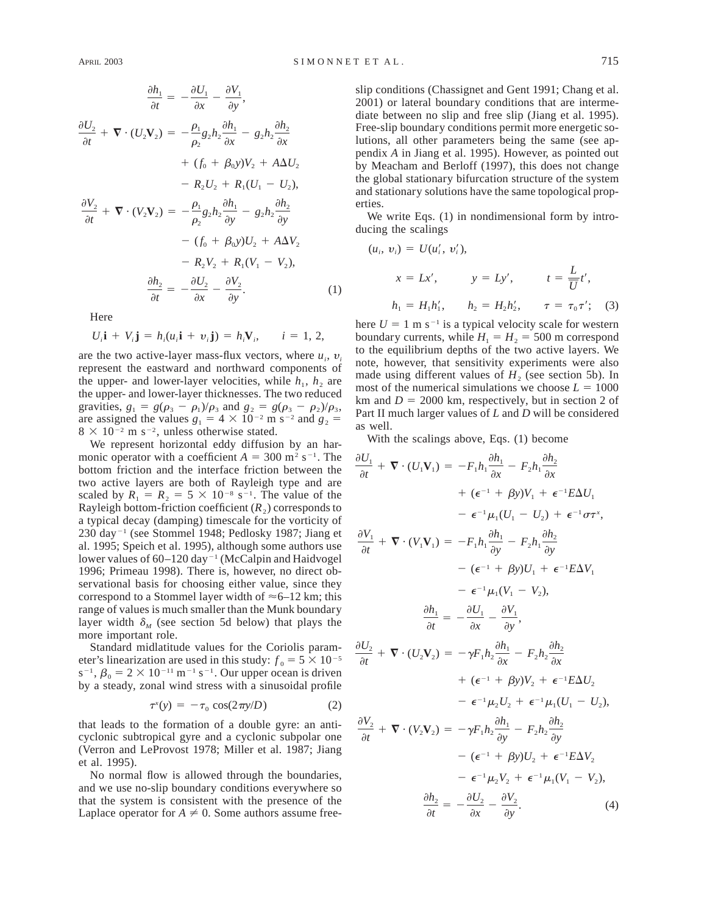$$
\frac{\partial h_1}{\partial t} = -\frac{\partial U_1}{\partial x} - \frac{\partial V_1}{\partial y},
$$
  

$$
\frac{\partial U_2}{\partial t} + \nabla \cdot (U_2 \mathbf{V}_2) = -\frac{\rho_1}{\rho_2} g_2 h_2 \frac{\partial h_1}{\partial x} - g_2 h_2 \frac{\partial h_2}{\partial x} + (f_0 + \beta_0 y) V_2 + A \Delta U_2 - R_2 U_2 + R_1 (U_1 - U_2),
$$
  

$$
\frac{\partial V_2}{\partial t} + \nabla \cdot (V_2 \mathbf{V}_2) = -\frac{\rho_1}{\rho_2} g_2 h_2 \frac{\partial h_1}{\partial y} - g_2 h_2 \frac{\partial h_2}{\partial y} - (f_0 + \beta_0 y) U_2 + A \Delta V_2 - R_2 V_2 + R_1 (V_1 - V_2),
$$
  

$$
\frac{\partial h_2}{\partial t} = -\frac{\partial U_2}{\partial x} - \frac{\partial V_2}{\partial y}.
$$
 (1)

Here

 $U_i$ **i** +  $V_i$ **j** =  $h_i$ ( $u_i$ **i** +  $v_i$ **j**) =  $h_i$ **V**<sub>*i</sub>*, *i* = 1, 2,</sub>

are the two active-layer mass-flux vectors, where  $u_i$ ,  $v_i$ represent the eastward and northward components of the upper- and lower-layer velocities, while  $h_1$ ,  $h_2$  are the upper- and lower-layer thicknesses. The two reduced gravities,  $g_1 = g(\rho_3 - \rho_1)/\rho_3$  and  $g_2 = g(\rho_3 - \rho_2)/\rho_3$ , are assigned the values  $g_1 = 4 \times 10^{-2}$  m s<sup>-2</sup> and  $g_2 =$  $8 \times 10^{-2}$  m s<sup>-2</sup>, unless otherwise stated.

We represent horizontal eddy diffusion by an harmonic operator with a coefficient  $A = 300$  m<sup>2</sup> s<sup>-1</sup>. The bottom friction and the interface friction between the two active layers are both of Rayleigh type and are scaled by  $R_1 = R_2 = 5 \times 10^{-8} \text{ s}^{-1}$ . The value of the Rayleigh bottom-friction coefficient  $(R_2)$  corresponds to a typical decay (damping) timescale for the vorticity of 230 day<sup>-1</sup> (see Stommel 1948; Pedlosky 1987; Jiang et al. 1995; Speich et al. 1995), although some authors use lower values of  $60-120$  day<sup>-1</sup> (McCalpin and Haidvogel 1996; Primeau 1998). There is, however, no direct observational basis for choosing either value, since they correspond to a Stommel layer width of  $\approx$  6–12 km; this range of values is much smaller than the Munk boundary layer width  $\delta_M$  (see section 5d below) that plays the more important role.

Standard midlatitude values for the Coriolis parameter's linearization are used in this study:  $f_0 = 5 \times 10^{-5}$  $s^{-1}$ ,  $\beta_0 = 2 \times 10^{-11}$  m<sup>-1</sup> s<sup>-1</sup>. Our upper ocean is driven by a steady, zonal wind stress with a sinusoidal profile

$$
\tau^x(y) = -\tau_0 \cos(2\pi y/D) \tag{2}
$$

that leads to the formation of a double gyre: an anticyclonic subtropical gyre and a cyclonic subpolar one (Verron and LeProvost 1978; Miller et al. 1987; Jiang et al. 1995).

No normal flow is allowed through the boundaries, and we use no-slip boundary conditions everywhere so that the system is consistent with the presence of the Laplace operator for  $A \neq 0$ . Some authors assume freeslip conditions (Chassignet and Gent 1991; Chang et al. 2001) or lateral boundary conditions that are intermediate between no slip and free slip (Jiang et al. 1995). Free-slip boundary conditions permit more energetic solutions, all other parameters being the same (see appendix *A* in Jiang et al. 1995). However, as pointed out by Meacham and Berloff (1997), this does not change the global stationary bifurcation structure of the system and stationary solutions have the same topological properties.

We write Eqs. (1) in nondimensional form by introducing the scalings

$$
(u_i, v_i) = U(u'_i, v'_i),
$$
  
\n
$$
x = Lx', \qquad y = Ly', \qquad t = \frac{L}{U}t',
$$
  
\n
$$
h_1 = H_1 h'_1, \qquad h_2 = H_2 h'_2, \qquad \tau = \tau_0 \tau'; \quad (3)
$$

here  $U = 1$  m s<sup>-1</sup> is a typical velocity scale for western boundary currents, while  $H_1 = H_2 = 500$  m correspond to the equilibrium depths of the two active layers. We note, however, that sensitivity experiments were also made using different values of  $H<sub>2</sub>$  (see section 5b). In most of the numerical simulations we choose  $L = 1000$ km and  $D = 2000$  km, respectively, but in section 2 of Part II much larger values of *L* and *D* will be considered as well.

With the scalings above, Eqs. (1) become

$$
\frac{\partial U_1}{\partial t} + \nabla \cdot (U_1 \mathbf{V}_1) = -F_1 h_1 \frac{\partial h_1}{\partial x} - F_2 h_1 \frac{\partial h_2}{\partial x} \n+ (\epsilon^{-1} + \beta y) V_1 + \epsilon^{-1} E \Delta U_1 \n- \epsilon^{-1} \mu_1 (U_1 - U_2) + \epsilon^{-1} \sigma \tau^x, \n\frac{\partial V_1}{\partial t} + \nabla \cdot (V_1 \mathbf{V}_1) = -F_1 h_1 \frac{\partial h_1}{\partial y} - F_2 h_1 \frac{\partial h_2}{\partial y} \n- (\epsilon^{-1} + \beta y) U_1 + \epsilon^{-1} E \Delta V_1 \n- \epsilon^{-1} \mu_1 (V_1 - V_2), \n\frac{\partial h_1}{\partial t} = -\frac{\partial U_1}{\partial x} - \frac{\partial V_1}{\partial y}, \n\frac{\partial U_2}{\partial t} + \nabla \cdot (U_2 \mathbf{V}_2) = -\gamma F_1 h_2 \frac{\partial h_1}{\partial x} - F_2 h_2 \frac{\partial h_2}{\partial x} \n+ (\epsilon^{-1} + \beta y) V_2 + \epsilon^{-1} E \Delta U_2 \n- \epsilon^{-1} \mu_2 U_2 + \epsilon^{-1} \mu_1 (U_1 - U_2), \n\frac{\partial V_2}{\partial t} + \nabla \cdot (V_2 \mathbf{V}_2) = -\gamma F_1 h_2 \frac{\partial h_1}{\partial y} - F_2 h_2 \frac{\partial h_2}{\partial y} \n- (\epsilon^{-1} + \beta y) U_2 + \epsilon^{-1} E \Delta V_2 \n- \epsilon^{-1} \mu_2 V_2 + \epsilon^{-1} \mu_1 (V_1 - V_2), \n\frac{\partial h_2}{\partial t} = -\frac{\partial U_2}{\partial x} - \frac{\partial V_2}{\partial y}.
$$
\n(4)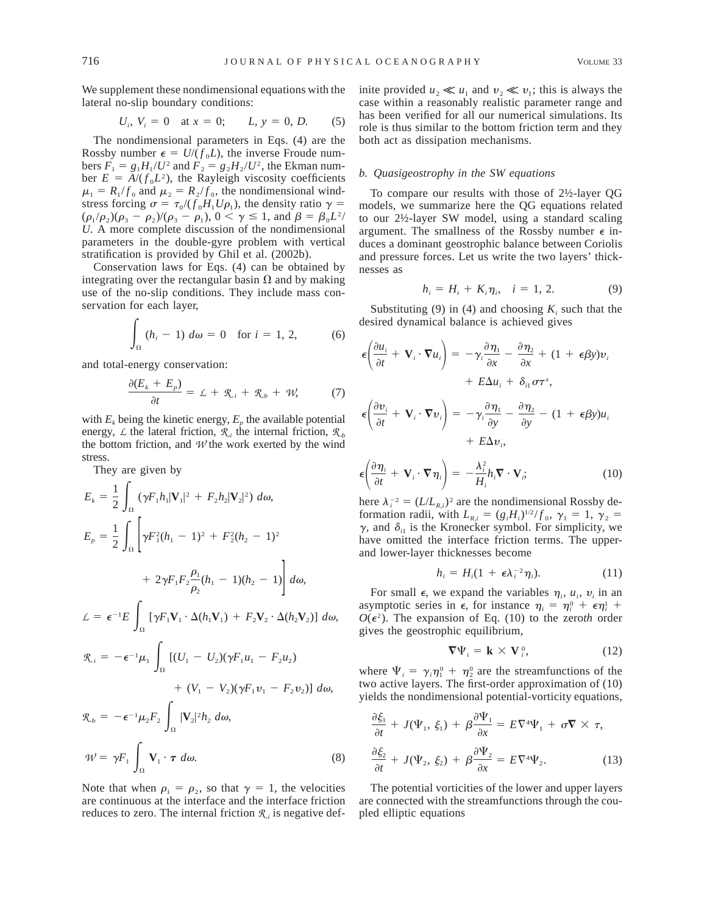We supplement these nondimensional equations with the lateral no-slip boundary conditions:

$$
U_i, V_i = 0 \text{ at } x = 0; \qquad L, y = 0, D. \tag{5}
$$

The nondimensional parameters in Eqs. (4) are the Rossby number  $\epsilon = U/(f_0 L)$ , the inverse Froude numbers  $F_1 = g_1 H_1/U^2$  and  $F_2 = g_2 H_2/U^2$ , the Ekman number  $E = A/(f_0 L^2)$ , the Rayleigh viscosity coefficients  $\mu_1 = R_1/f_0$  and  $\mu_2 = R_2/f_0$ , the nondimensional windstress forcing  $\sigma = \tau_0/(f_0 H_1 U \rho_1)$ , the density ratio  $\gamma =$  $(\rho_1/\rho_2)(\rho_3 - \rho_2)/(\rho_3 - \rho_1), 0 < \gamma \le 1$ , and  $\beta = \beta_0 L^2$ *U.* A more complete discussion of the nondimensional parameters in the double-gyre problem with vertical stratification is provided by Ghil et al. (2002b).

Conservation laws for Eqs. (4) can be obtained by integrating over the rectangular basin  $\Omega$  and by making use of the no-slip conditions. They include mass conservation for each layer,

$$
\int_{\Omega} (h_i - 1) \, d\omega = 0 \quad \text{for } i = 1, 2, \tag{6}
$$

and total-energy conservation:

$$
\frac{\partial (E_k + E_p)}{\partial t} = L + \mathcal{R}_i + \mathcal{R}_b + \mathcal{W}, \tag{7}
$$

with  $E_k$  being the kinetic energy,  $E_p$  the available potential energy,  $\angle$  the lateral friction,  $\mathcal{R}_{\beta}$  the internal friction,  $\mathcal{R}_{\beta}$ the bottom friction, and  $W$  the work exerted by the wind stress.

They are given by

$$
E_{k} = \frac{1}{2} \int_{\Omega} (\gamma F_{1} h_{1} |\mathbf{V}_{1}|^{2} + F_{2} h_{2} |\mathbf{V}_{2}|^{2}) d\omega,
$$
  
\n
$$
E_{p} = \frac{1}{2} \int_{\Omega} \left[ \gamma F_{1}^{2} (h_{1} - 1)^{2} + F_{2}^{2} (h_{2} - 1)^{2} + 2 \gamma F_{1} F_{2} \frac{\rho_{1}}{\rho_{2}} (h_{1} - 1) (h_{2} - 1) \right] d\omega,
$$
  
\n
$$
\mathcal{L} = \epsilon^{-1} E \int_{\Omega} \left[ \gamma F_{1} \mathbf{V}_{1} \cdot \Delta (h_{1} \mathbf{V}_{1}) + F_{2} \mathbf{V}_{2} \cdot \Delta (h_{2} \mathbf{V}_{2}) \right] d\omega,
$$
  
\n
$$
\mathcal{R}_{i} = -\epsilon^{-1} \mu_{1} \int_{\Omega} \left[ (U_{1} - U_{2}) (\gamma F_{1} u_{1} - F_{2} u_{2}) + (V_{1} - V_{2}) (\gamma F_{1} v_{1} - F_{2} v_{2}) \right] d\omega,
$$
  
\n
$$
\mathcal{R}_{b} = -\epsilon^{-1} \mu_{2} F_{2} \int_{\Omega} |\mathbf{V}_{2}|^{2} h_{2} d\omega,
$$
  
\n
$$
\mathcal{W} = \gamma F_{1} \int_{\Omega} \mathbf{V}_{1} \cdot \boldsymbol{\tau} d\omega.
$$
 (8)

Note that when  $\rho_1 = \rho_2$ , so that  $\gamma = 1$ , the velocities are continuous at the interface and the interface friction reduces to zero. The internal friction  $\mathcal{R}_i$  is negative definite provided  $u_2 \ll u_1$  and  $v_2 \ll v_1$ ; this is always the case within a reasonably realistic parameter range and has been verified for all our numerical simulations. Its role is thus similar to the bottom friction term and they both act as dissipation mechanisms.

#### *b. Quasigeostrophy in the SW equations*

To compare our results with those of 2½-layer QG models, we summarize here the QG equations related to our 2½-layer SW model, using a standard scaling argument. The smallness of the Rossby number  $\epsilon$  induces a dominant geostrophic balance between Coriolis and pressure forces. Let us write the two layers' thicknesses as

$$
h_i = H_i + K_i \eta_i, \quad i = 1, 2. \tag{9}
$$

Substituting (9) in (4) and choosing  $K_i$  such that the desired dynamical balance is achieved gives

$$
\epsilon \left( \frac{\partial u_i}{\partial t} + \mathbf{V}_i \cdot \nabla u_i \right) = -\gamma_i \frac{\partial \eta_1}{\partial x} - \frac{\partial \eta_2}{\partial x} + (1 + \epsilon \beta y) v_i
$$

$$
+ E \Delta u_i + \delta_{i1} \sigma \tau^x,
$$

$$
\epsilon \left( \frac{\partial v_i}{\partial t} + \mathbf{V}_i \cdot \nabla v_i \right) = -\gamma_i \frac{\partial \eta_1}{\partial y} - \frac{\partial \eta_2}{\partial y} - (1 + \epsilon \beta y) u_i + E \Delta v_i,
$$

$$
\epsilon \left( \frac{\partial \eta_i}{\partial t} + \mathbf{V}_i \cdot \nabla \eta_i \right) = -\frac{\lambda_i^2}{H_i} h_i \nabla \cdot \mathbf{V}_i; \tag{10}
$$

here  $\lambda_i^{-2} = (L/L_{R,i})^2$  are the nondimensional Rossby deformation radii, with  $L_{R,i} = (g_i H_i)^{1/2} / f_0$ ,  $\gamma_1 = 1$ ,  $\gamma_2 =$  $\gamma$ , and  $\delta$ <sub>i1</sub> is the Kronecker symbol. For simplicity, we have omitted the interface friction terms. The upperand lower-layer thicknesses become

$$
h_i = H_i(1 + \epsilon \lambda_i^{-2} \eta_i). \tag{11}
$$

For small  $\epsilon$ , we expand the variables  $\eta_i$ ,  $u_i$ ,  $v_i$  in an asymptotic series in  $\epsilon$ , for instance  $\eta_i = \eta_i^0 + \epsilon \eta_i^1 + \epsilon$  $O(\epsilon^2)$ . The expansion of Eq. (10) to the zeroth order gives the geostrophic equilibrium,

$$
\nabla \Psi_i = \mathbf{k} \times \mathbf{V}_i^0, \tag{12}
$$

where  $\Psi_i = \gamma_i \eta_1^0 + \eta_2^0$  are the streamfunctions of the two active layers. The first-order approximation of (10) yields the nondimensional potential-vorticity equations,

$$
\frac{\partial \xi_1}{\partial t} + J(\Psi_1, \xi_1) + \beta \frac{\partial \Psi_1}{\partial x} = E \nabla^4 \Psi_1 + \sigma \nabla \times \tau,
$$
  

$$
\frac{\partial \xi_2}{\partial t} + J(\Psi_2, \xi_2) + \beta \frac{\partial \Psi_2}{\partial x} = E \nabla^4 \Psi_2.
$$
 (13)

The potential vorticities of the lower and upper layers are connected with the streamfunctions through the coupled elliptic equations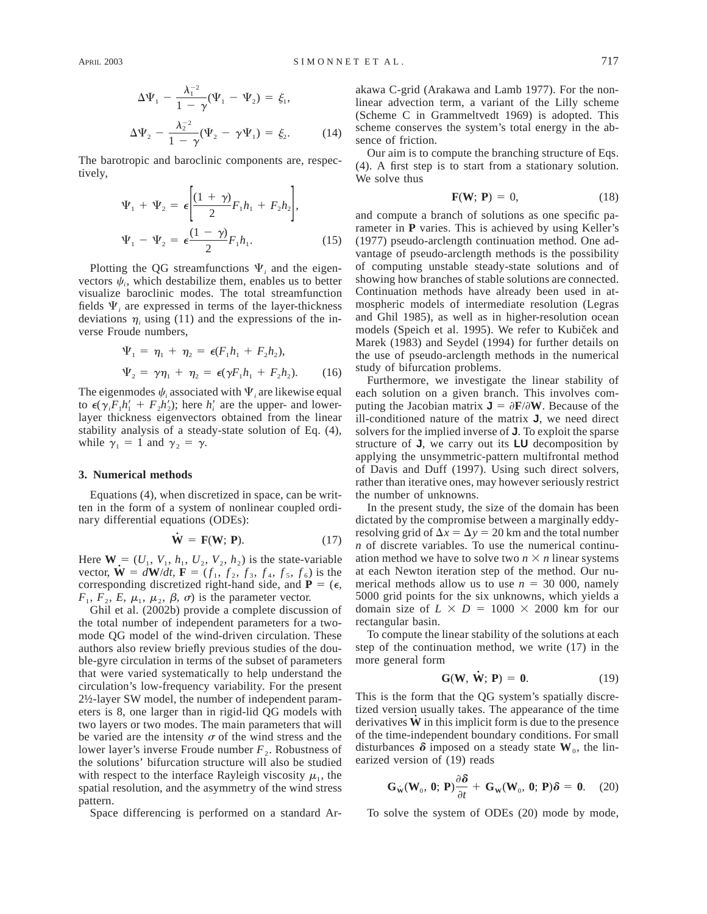$$
\Delta \Psi_1 - \frac{\lambda_1^{-2}}{1 - \gamma} (\Psi_1 - \Psi_2) = \xi_1,
$$
  

$$
\Delta \Psi_2 - \frac{\lambda_2^{-2}}{1 - \gamma} (\Psi_2 - \gamma \Psi_1) = \xi_2.
$$
 (14)

The barotropic and baroclinic components are, respectively,

$$
\Psi_1 + \Psi_2 = \epsilon \left[ \frac{(1+\gamma)}{2} F_1 h_1 + F_2 h_2 \right],
$$
  

$$
\Psi_1 - \Psi_2 = \epsilon \frac{(1-\gamma)}{2} F_1 h_1.
$$
 (15)

Plotting the QG streamfunctions  $\Psi$ , and the eigenvectors  $\psi_i$ , which destabilize them, enables us to better visualize baroclinic modes. The total streamfunction fields  $\Psi$ , are expressed in terms of the layer-thickness deviations  $\eta_i$  using (11) and the expressions of the inverse Froude numbers,

$$
\Psi_1 = \eta_1 + \eta_2 = \epsilon (F_1 h_1 + F_2 h_2), \n\Psi_2 = \gamma \eta_1 + \eta_2 = \epsilon (\gamma F_1 h_1 + F_2 h_2).
$$
\n(16)

The eigenmodes  $\psi_i$  associated with  $\Psi_i$  are likewise equal to  $\epsilon(\gamma_i F_1 h'_1 + F_2 h'_2)$ ; here  $h'_i$  are the upper- and lowerlayer thickness eigenvectors obtained from the linear stability analysis of a steady-state solution of Eq. (4), while  $\gamma_1 = 1$  and  $\gamma_2 = \gamma$ .

#### **3. Numerical methods**

Equations (4), when discretized in space, can be written in the form of a system of nonlinear coupled ordinary differential equations (ODEs):

$$
\dot{\mathbf{W}} = \mathbf{F}(\mathbf{W}; \, \mathbf{P}).\tag{17}
$$

Here  $\mathbf{W} = (U_1, V_1, h_1, U_2, V_2, h_2)$  is the state-variable vector,  $\dot{W} = dW/dt$ ,  $\dot{F} = (f_1, f_2, f_3, f_4, f_5, f_6)$  is the corresponding discretized right-hand side, and  $P = (\epsilon,$  $F_1$ ,  $F_2$ ,  $E$ ,  $\mu_1$ ,  $\mu_2$ ,  $\beta$ ,  $\sigma$ ) is the parameter vector.

Ghil et al. (2002b) provide a complete discussion of the total number of independent parameters for a twomode QG model of the wind-driven circulation. These authors also review briefly previous studies of the double-gyre circulation in terms of the subset of parameters that were varied systematically to help understand the circulation's low-frequency variability. For the present 2½-layer SW model, the number of independent parameters is 8, one larger than in rigid-lid QG models with two layers or two modes. The main parameters that will be varied are the intensity  $\sigma$  of the wind stress and the lower layer's inverse Froude number  $F_2$ . Robustness of the solutions' bifurcation structure will also be studied with respect to the interface Rayleigh viscosity  $\mu_1$ , the spatial resolution, and the asymmetry of the wind stress pattern.

Space differencing is performed on a standard Ar-

akawa C-grid (Arakawa and Lamb 1977). For the nonlinear advection term, a variant of the Lilly scheme (Scheme C in Grammeltvedt 1969) is adopted. This scheme conserves the system's total energy in the absence of friction.

Our aim is to compute the branching structure of Eqs. (4). A first step is to start from a stationary solution. We solve thus

$$
\mathbf{F}(\mathbf{W}; \, \mathbf{P}) = 0,\tag{18}
$$

and compute a branch of solutions as one specific parameter in **P** varies. This is achieved by using Keller's (1977) pseudo-arclength continuation method. One advantage of pseudo-arclength methods is the possibility of computing unstable steady-state solutions and of showing how branches of stable solutions are connected. Continuation methods have already been used in atmospheric models of intermediate resolution (Legras and Ghil 1985), as well as in higher-resolution ocean models (Speich et al. 1995). We refer to Kubiček and Marek (1983) and Seydel (1994) for further details on the use of pseudo-arclength methods in the numerical study of bifurcation problems.

Furthermore, we investigate the linear stability of each solution on a given branch. This involves computing the Jacobian matrix  $J = \partial F / \partial W$ . Because of the ill-conditioned nature of the matrix **J**, we need direct solvers for the implied inverse of **J**. To exploit the sparse structure of **J**, we carry out its **LU** decomposition by applying the unsymmetric-pattern multifrontal method of Davis and Duff (1997). Using such direct solvers, rather than iterative ones, may however seriously restrict the number of unknowns.

In the present study, the size of the domain has been dictated by the compromise between a marginally eddyresolving grid of  $\Delta x = \Delta y = 20$  km and the total number *n* of discrete variables. To use the numerical continuation method we have to solve two  $n \times n$  linear systems at each Newton iteration step of the method. Our numerical methods allow us to use  $n = 30,000$ , namely 5000 grid points for the six unknowns, which yields a domain size of  $L \times D = 1000 \times 2000$  km for our rectangular basin.

To compute the linear stability of the solutions at each step of the continuation method, we write (17) in the more general form

$$
\mathbf{G}(\mathbf{W}, \dot{\mathbf{W}}; \mathbf{P}) = \mathbf{0}.\tag{19}
$$

This is the form that the QG system's spatially discretized version usually takes. The appearance of the time derivatives  $\dot{W}$  in this implicit form is due to the presence of the time-independent boundary conditions. For small disturbances  $\delta$  imposed on a steady state  $W_0$ , the linearized version of (19) reads

$$
\mathbf{G}_{\dot{\mathbf{W}}}(\mathbf{W}_0, \, \mathbf{0}; \, \mathbf{P}) \frac{\partial \delta}{\partial t} + \mathbf{G}_{\mathbf{W}}(\mathbf{W}_0, \, \mathbf{0}; \, \mathbf{P}) \delta = 0. \tag{20}
$$

To solve the system of ODEs (20) mode by mode,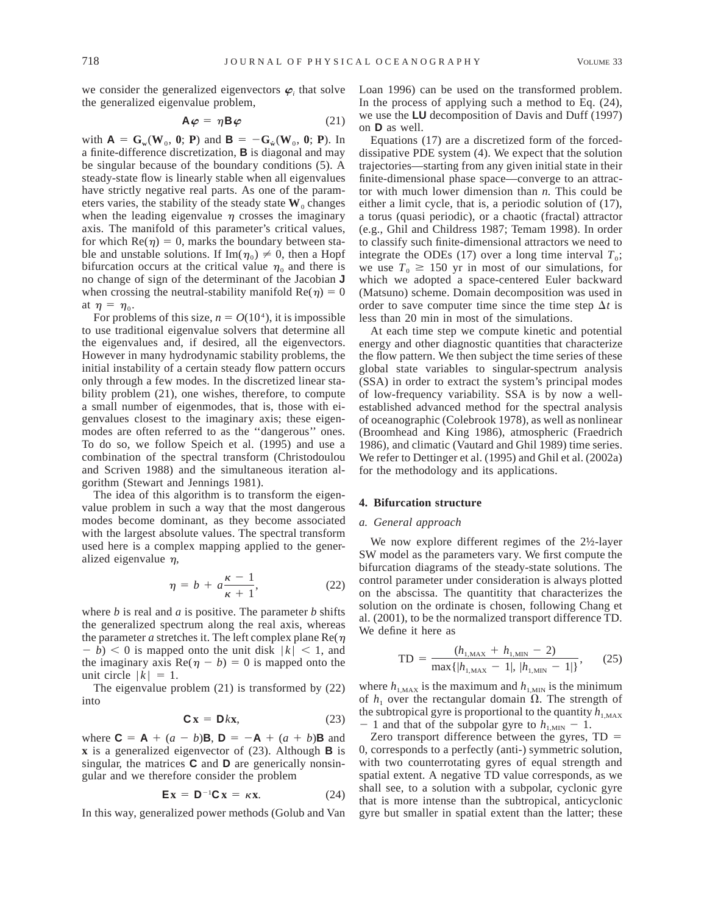we consider the generalized eigenvectors  $\boldsymbol{\varphi}_i$  that solve the generalized eigenvalue problem,

$$
\mathbf{A}\boldsymbol{\varphi} = \eta \mathbf{B}\boldsymbol{\varphi} \tag{21}
$$

with  $A = G_w(W_0, 0; P)$  and  $B = -G_w(W_0, 0; P)$ . In a finite-difference discretization, **B** is diagonal and may be singular because of the boundary conditions (5). A steady-state flow is linearly stable when all eigenvalues have strictly negative real parts. As one of the parameters varies, the stability of the steady state  $W_0$  changes when the leading eigenvalue  $\eta$  crosses the imaginary axis. The manifold of this parameter's critical values, for which  $Re(\eta) = 0$ , marks the boundary between stable and unstable solutions. If  $\text{Im}(\eta_0) \neq 0$ , then a Hopf bifurcation occurs at the critical value  $\eta_0$  and there is no change of sign of the determinant of the Jacobian **J** when crossing the neutral-stability manifold  $Re(\eta) = 0$ at  $\eta = \eta_0$ .

For problems of this size,  $n = O(10^4)$ , it is impossible to use traditional eigenvalue solvers that determine all the eigenvalues and, if desired, all the eigenvectors. However in many hydrodynamic stability problems, the initial instability of a certain steady flow pattern occurs only through a few modes. In the discretized linear stability problem (21), one wishes, therefore, to compute a small number of eigenmodes, that is, those with eigenvalues closest to the imaginary axis; these eigenmodes are often referred to as the ''dangerous'' ones. To do so, we follow Speich et al. (1995) and use a combination of the spectral transform (Christodoulou and Scriven 1988) and the simultaneous iteration algorithm (Stewart and Jennings 1981).

The idea of this algorithm is to transform the eigenvalue problem in such a way that the most dangerous modes become dominant, as they become associated with the largest absolute values. The spectral transform used here is a complex mapping applied to the generalized eigenvalue  $\eta$ ,

$$
\eta = b + a \frac{\kappa - 1}{\kappa + 1},\tag{22}
$$

where *b* is real and *a* is positive. The parameter *b* shifts the generalized spectrum along the real axis, whereas the parameter *a* stretches it. The left complex plane  $\text{Re}(\eta)$  $-b$   $> 0$  is mapped onto the unit disk  $|k| < 1$ , and the imaginary axis  $\text{Re}(\eta - b) = 0$  is mapped onto the unit circle  $|k| = 1$ .

The eigenvalue problem (21) is transformed by (22) into

$$
\mathbf{C}\mathbf{x} = \mathbf{D}k\mathbf{x},\tag{23}
$$

where  $C = A + (a - b)B$ ,  $D = -A + (a + b)B$  and **x** is a generalized eigenvector of (23). Although **B** is singular, the matrices **C** and **D** are generically nonsingular and we therefore consider the problem

$$
\mathbf{E}\mathbf{x} = \mathbf{D}^{-1}\mathbf{C}\mathbf{x} = \kappa \mathbf{x}.\tag{24}
$$

In this way, generalized power methods (Golub and Van

Loan 1996) can be used on the transformed problem. In the process of applying such a method to Eq. (24), we use the **LU** decomposition of Davis and Duff (1997) on **D** as well.

Equations (17) are a discretized form of the forceddissipative PDE system (4). We expect that the solution trajectories—starting from any given initial state in their finite-dimensional phase space—converge to an attractor with much lower dimension than *n.* This could be either a limit cycle, that is, a periodic solution of (17), a torus (quasi periodic), or a chaotic (fractal) attractor (e.g., Ghil and Childress 1987; Temam 1998). In order to classify such finite-dimensional attractors we need to integrate the ODEs (17) over a long time interval  $T_0$ ; we use  $T_0 \ge 150$  yr in most of our simulations, for which we adopted a space-centered Euler backward (Matsuno) scheme. Domain decomposition was used in order to save computer time since the time step  $\Delta t$  is less than 20 min in most of the simulations.

At each time step we compute kinetic and potential energy and other diagnostic quantities that characterize the flow pattern. We then subject the time series of these global state variables to singular-spectrum analysis (SSA) in order to extract the system's principal modes of low-frequency variability. SSA is by now a wellestablished advanced method for the spectral analysis of oceanographic (Colebrook 1978), as well as nonlinear (Broomhead and King 1986), atmospheric (Fraedrich 1986), and climatic (Vautard and Ghil 1989) time series. We refer to Dettinger et al. (1995) and Ghil et al. (2002a) for the methodology and its applications.

# **4. Bifurcation structure**

### *a. General approach*

We now explore different regimes of the 2½-layer SW model as the parameters vary. We first compute the bifurcation diagrams of the steady-state solutions. The control parameter under consideration is always plotted on the abscissa. The quantitity that characterizes the solution on the ordinate is chosen, following Chang et al. (2001), to be the normalized transport difference TD. We define it here as

$$
TD = \frac{(h_{1, \text{MAX}} + h_{1, \text{MIN}} - 2)}{\max\{|h_{1, \text{MAX}} - 1|, |h_{1, \text{MIN}} - 1|\}},\qquad(25)
$$

where  $h_{1,\text{MAX}}$  is the maximum and  $h_{1,\text{MIN}}$  is the minimum of  $h_1$  over the rectangular domain  $\Omega$ . The strength of the subtropical gyre is proportional to the quantity  $h_{1,\text{MAX}}$  $-1$  and that of the subpolar gyre to  $h_{1,\text{MIN}} - 1$ .

Zero transport difference between the gyres,  $TD =$ 0, corresponds to a perfectly (anti-) symmetric solution, with two counterrotating gyres of equal strength and spatial extent. A negative TD value corresponds, as we shall see, to a solution with a subpolar, cyclonic gyre that is more intense than the subtropical, anticyclonic gyre but smaller in spatial extent than the latter; these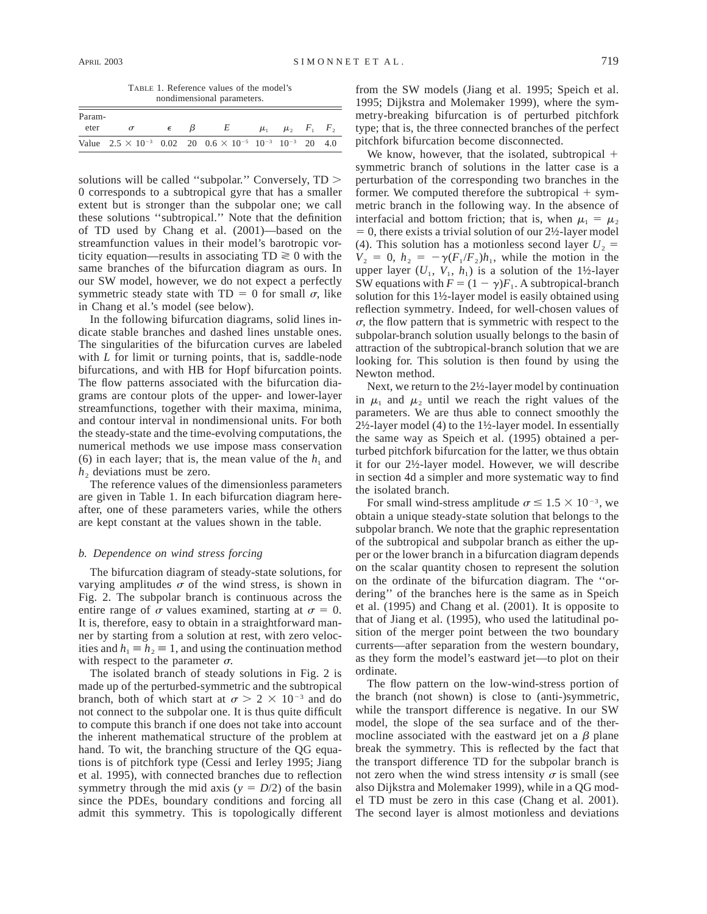TABLE 1. Reference values of the model's nondimensional parameters.

| Param- |                                                                                                  |            |  |                                             |  |                             |  |  |
|--------|--------------------------------------------------------------------------------------------------|------------|--|---------------------------------------------|--|-----------------------------|--|--|
| eter   | $\sigma$                                                                                         | $\epsilon$ |  | $E$ and $E$ and $E$ and $E$ and $E$ and $E$ |  | $\mu_1$ $\mu_2$ $F_1$ $F_2$ |  |  |
|        | Value $2.5 \times 10^{-3}$ 0.02 20 0.6 $\times 10^{-5}$ 10 <sup>-3</sup> 10 <sup>-3</sup> 20 4.0 |            |  |                                             |  |                             |  |  |

solutions will be called "subpolar." Conversely,  $TD$  > 0 corresponds to a subtropical gyre that has a smaller extent but is stronger than the subpolar one; we call these solutions ''subtropical.'' Note that the definition of TD used by Chang et al. (2001)—based on the streamfunction values in their model's barotropic vorticity equation—results in associating  $TD \ge 0$  with the same branches of the bifurcation diagram as ours. In our SW model, however, we do not expect a perfectly symmetric steady state with  $TD = 0$  for small  $\sigma$ , like in Chang et al.'s model (see below).

In the following bifurcation diagrams, solid lines indicate stable branches and dashed lines unstable ones. The singularities of the bifurcation curves are labeled with *L* for limit or turning points, that is, saddle-node bifurcations, and with HB for Hopf bifurcation points. The flow patterns associated with the bifurcation diagrams are contour plots of the upper- and lower-layer streamfunctions, together with their maxima, minima, and contour interval in nondimensional units. For both the steady-state and the time-evolving computations, the numerical methods we use impose mass conservation (6) in each layer; that is, the mean value of the  $h_1$  and  $h<sub>2</sub>$  deviations must be zero.

The reference values of the dimensionless parameters are given in Table 1. In each bifurcation diagram hereafter, one of these parameters varies, while the others are kept constant at the values shown in the table.

## *b. Dependence on wind stress forcing*

The bifurcation diagram of steady-state solutions, for varying amplitudes  $\sigma$  of the wind stress, is shown in Fig. 2. The subpolar branch is continuous across the entire range of  $\sigma$  values examined, starting at  $\sigma = 0$ . It is, therefore, easy to obtain in a straightforward manner by starting from a solution at rest, with zero velocities and  $h_1 \equiv h_2 \equiv 1$ , and using the continuation method with respect to the parameter  $\sigma$ .

The isolated branch of steady solutions in Fig. 2 is made up of the perturbed-symmetric and the subtropical branch, both of which start at  $\sigma > 2 \times 10^{-3}$  and do not connect to the subpolar one. It is thus quite difficult to compute this branch if one does not take into account the inherent mathematical structure of the problem at hand. To wit, the branching structure of the QG equations is of pitchfork type (Cessi and Ierley 1995; Jiang et al. 1995), with connected branches due to reflection symmetry through the mid axis ( $y = D/2$ ) of the basin since the PDEs, boundary conditions and forcing all admit this symmetry. This is topologically different from the SW models (Jiang et al. 1995; Speich et al. 1995; Dijkstra and Molemaker 1999), where the symmetry-breaking bifurcation is of perturbed pitchfork type; that is, the three connected branches of the perfect pitchfork bifurcation become disconnected.

We know, however, that the isolated, subtropical  $+$ symmetric branch of solutions in the latter case is a perturbation of the corresponding two branches in the former. We computed therefore the subtropical  $+$  symmetric branch in the following way. In the absence of interfacial and bottom friction; that is, when  $\mu_1 = \mu_2$  $= 0$ , there exists a trivial solution of our 2½-layer model (4). This solution has a motionless second layer  $U_2$  =  $V_2 = 0$ ,  $h_2 = -\gamma (F_1/F_2)h_1$ , while the motion in the upper layer  $(U_1, V_1, h_1)$  is a solution of the 1½-layer SW equations with  $F = (1 - \gamma)F_1$ . A subtropical-branch solution for this 1½-layer model is easily obtained using reflection symmetry. Indeed, for well-chosen values of  $\sigma$ , the flow pattern that is symmetric with respect to the subpolar-branch solution usually belongs to the basin of attraction of the subtropical-branch solution that we are looking for. This solution is then found by using the Newton method.

Next, we return to the 2½-layer model by continuation in  $\mu_1$  and  $\mu_2$  until we reach the right values of the parameters. We are thus able to connect smoothly the 2½-layer model (4) to the 1½-layer model. In essentially the same way as Speich et al. (1995) obtained a perturbed pitchfork bifurcation for the latter, we thus obtain it for our 2½-layer model. However, we will describe in section 4d a simpler and more systematic way to find the isolated branch.

For small wind-stress amplitude  $\sigma \le 1.5 \times 10^{-3}$ , we obtain a unique steady-state solution that belongs to the subpolar branch. We note that the graphic representation of the subtropical and subpolar branch as either the upper or the lower branch in a bifurcation diagram depends on the scalar quantity chosen to represent the solution on the ordinate of the bifurcation diagram. The ''ordering'' of the branches here is the same as in Speich et al. (1995) and Chang et al. (2001). It is opposite to that of Jiang et al. (1995), who used the latitudinal position of the merger point between the two boundary currents—after separation from the western boundary, as they form the model's eastward jet—to plot on their ordinate.

The flow pattern on the low-wind-stress portion of the branch (not shown) is close to (anti-)symmetric, while the transport difference is negative. In our SW model, the slope of the sea surface and of the thermocline associated with the eastward jet on a  $\beta$  plane break the symmetry. This is reflected by the fact that the transport difference TD for the subpolar branch is not zero when the wind stress intensity  $\sigma$  is small (see also Dijkstra and Molemaker 1999), while in a QG model TD must be zero in this case (Chang et al. 2001). The second layer is almost motionless and deviations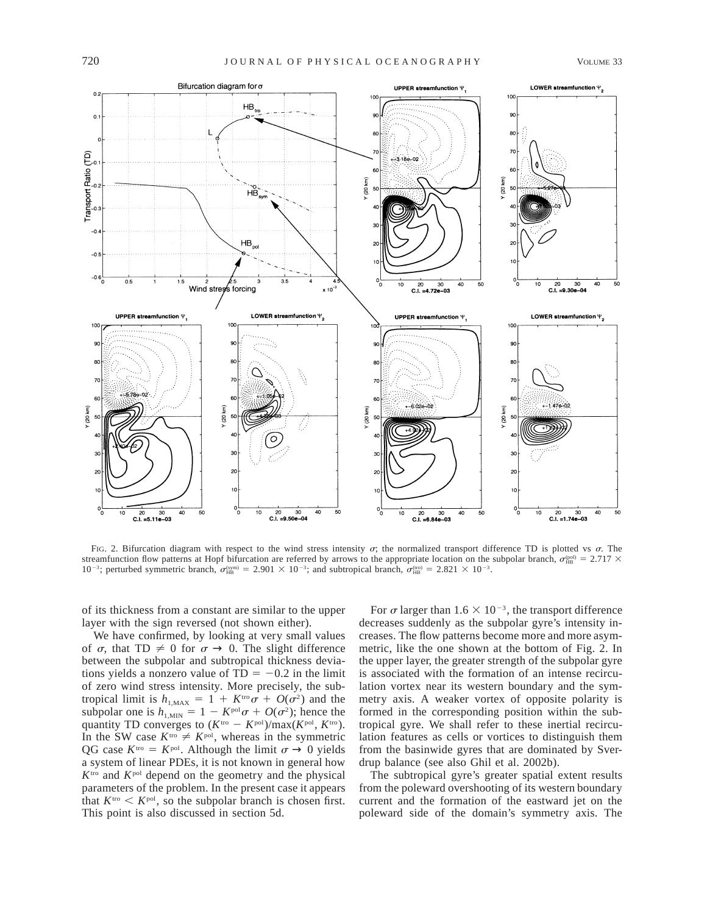

FIG. 2. Bifurcation diagram with respect to the wind stress intensity  $\sigma$ ; the normalized transport difference TD is plotted vs  $\sigma$ . The streamfunction flow patterns at Hopf bifurcation are referred by arrows to the appropriate location on the subpolar branch,  $\sigma_{\rm HB}^{\rm (bol)} = 2.717 \times$  $10^{-3}$ ; perturbed symmetric branch,  $\sigma_{\text{HB}}^{\text{sym}} = 2.901 \times 10^{-3}$ ; and subtropical branch,  $\sigma_{\text{HB}}^{\text{true}} = 2.821 \times 10^{-3}$ .

of its thickness from a constant are similar to the upper layer with the sign reversed (not shown either).

We have confirmed, by looking at very small values of  $\sigma$ , that TD  $\neq$  0 for  $\sigma \rightarrow$  0. The slight difference between the subpolar and subtropical thickness deviations yields a nonzero value of  $TD = -0.2$  in the limit of zero wind stress intensity. More precisely, the subtropical limit is  $h_{1,\text{MAX}} = 1 + K^{\text{tro}} \sigma + O(\sigma^2)$  and the subpolar one is  $h_{1,\text{MIN}} = 1 - K^{\text{pol}} \sigma + O(\sigma^2)$ ; hence the quantity TD converges to  $(K<sup>tro</sup> - K<sup>pol</sup>)/max(K<sup>pol</sup>, K<sup>tro</sup>).$ In the SW case  $K^{\text{tro}} \neq K^{\text{pol}}$ , whereas in the symmetric QG case  $K^{\text{tro}} = K^{\text{pol}}$ . Although the limit  $\sigma \to 0$  yields a system of linear PDEs, it is not known in general how *K*tro and *K*pol depend on the geometry and the physical parameters of the problem. In the present case it appears that  $K^{\text{tro}} < K^{\text{pol}}$ , so the subpolar branch is chosen first. This point is also discussed in section 5d.

For  $\sigma$  larger than 1.6  $\times$  10<sup>-3</sup>, the transport difference decreases suddenly as the subpolar gyre's intensity increases. The flow patterns become more and more asymmetric, like the one shown at the bottom of Fig. 2. In the upper layer, the greater strength of the subpolar gyre is associated with the formation of an intense recirculation vortex near its western boundary and the symmetry axis. A weaker vortex of opposite polarity is formed in the corresponding position within the subtropical gyre. We shall refer to these inertial recirculation features as cells or vortices to distinguish them from the basinwide gyres that are dominated by Sverdrup balance (see also Ghil et al. 2002b).

The subtropical gyre's greater spatial extent results from the poleward overshooting of its western boundary current and the formation of the eastward jet on the poleward side of the domain's symmetry axis. The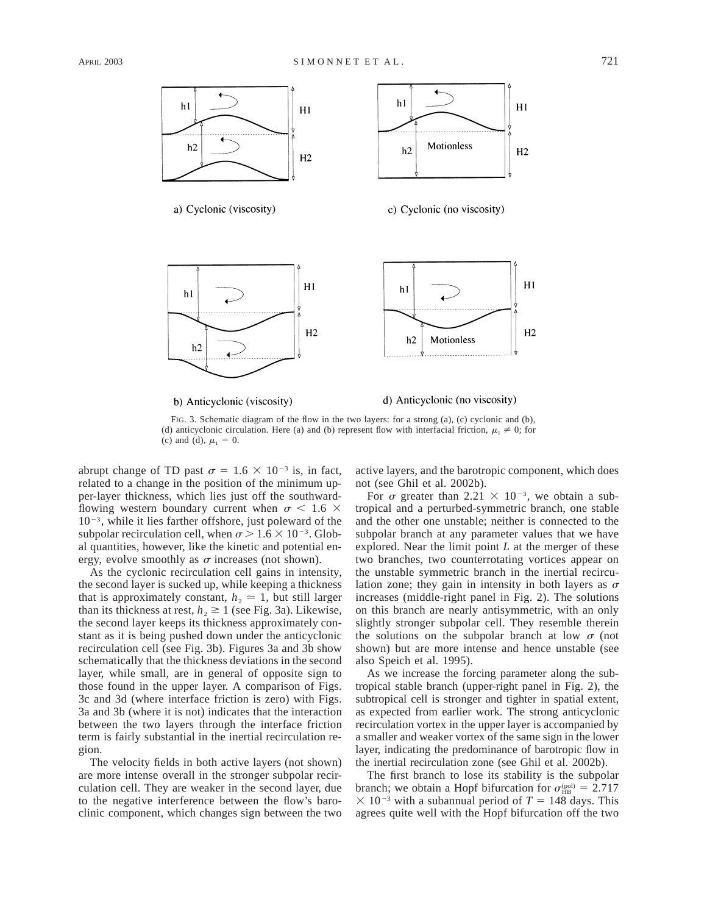

FIG. 3. Schematic diagram of the flow in the two layers: for a strong (a), (c) cyclonic and (b), (d) anticyclonic circulation. Here (a) and (b) represent flow with interfacial friction,  $\mu_1 \neq 0$ ; for (c) and (d),  $\mu_1 = 0$ .

abrupt change of TD past  $\sigma = 1.6 \times 10^{-3}$  is, in fact, related to a change in the position of the minimum upper-layer thickness, which lies just off the southwardflowing western boundary current when  $\sigma$  < 1.6  $\times$  $10^{-3}$ , while it lies farther offshore, just poleward of the subpolar recirculation cell, when  $\sigma > 1.6 \times 10^{-3}$ . Global quantities, however, like the kinetic and potential energy, evolve smoothly as  $\sigma$  increases (not shown).

As the cyclonic recirculation cell gains in intensity, the second layer is sucked up, while keeping a thickness that is approximately constant,  $h_2 \approx 1$ , but still larger than its thickness at rest,  $h_2 \ge 1$  (see Fig. 3a). Likewise, the second layer keeps its thickness approximately constant as it is being pushed down under the anticyclonic recirculation cell (see Fig. 3b). Figures 3a and 3b show schematically that the thickness deviations in the second layer, while small, are in general of opposite sign to those found in the upper layer. A comparison of Figs. 3c and 3d (where interface friction is zero) with Figs. 3a and 3b (where it is not) indicates that the interaction between the two layers through the interface friction term is fairly substantial in the inertial recirculation region.

The velocity fields in both active layers (not shown) are more intense overall in the stronger subpolar recirculation cell. They are weaker in the second layer, due to the negative interference between the flow's baroclinic component, which changes sign between the two

active layers, and the barotropic component, which does not (see Ghil et al. 2002b).

For  $\sigma$  greater than 2.21  $\times$  10<sup>-3</sup>, we obtain a subtropical and a perturbed-symmetric branch, one stable and the other one unstable; neither is connected to the subpolar branch at any parameter values that we have explored. Near the limit point *L* at the merger of these two branches, two counterrotating vortices appear on the unstable symmetric branch in the inertial recirculation zone; they gain in intensity in both layers as  $\sigma$ increases (middle-right panel in Fig. 2). The solutions on this branch are nearly antisymmetric, with an only slightly stronger subpolar cell. They resemble therein the solutions on the subpolar branch at low  $\sigma$  (not shown) but are more intense and hence unstable (see also Speich et al. 1995).

As we increase the forcing parameter along the subtropical stable branch (upper-right panel in Fig. 2), the subtropical cell is stronger and tighter in spatial extent, as expected from earlier work. The strong anticyclonic recirculation vortex in the upper layer is accompanied by a smaller and weaker vortex of the same sign in the lower layer, indicating the predominance of barotropic flow in the inertial recirculation zone (see Ghil et al. 2002b).

The first branch to lose its stability is the subpolar branch; we obtain a Hopf bifurcation for  $\sigma_{HB}^{\text{(pol)}} = 2.717$  $\times$  10<sup>-3</sup> with a subannual period of *T* = 148 days. This agrees quite well with the Hopf bifurcation off the two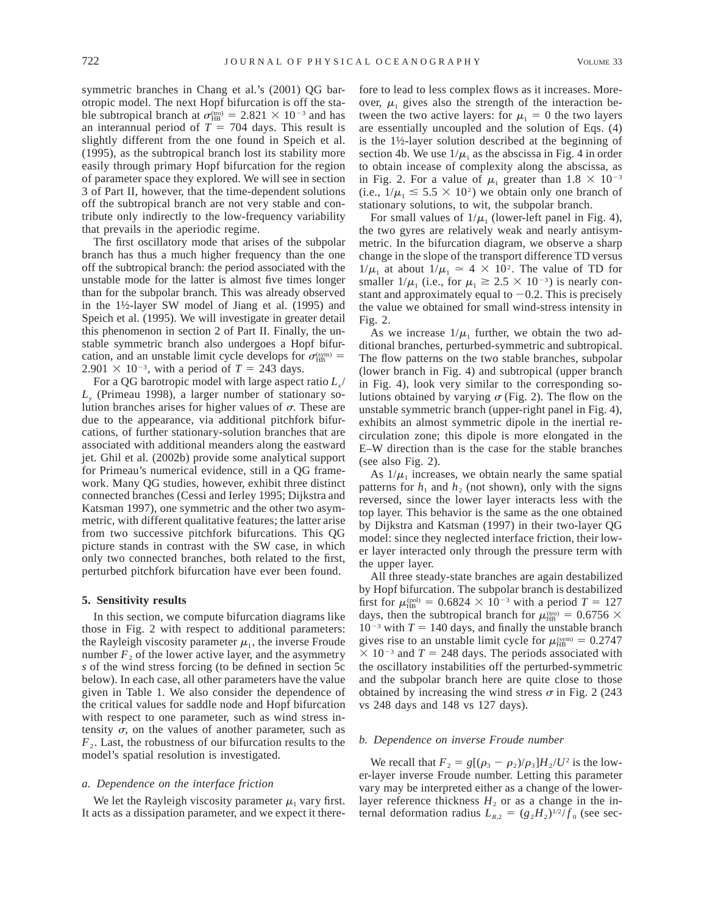symmetric branches in Chang et al.'s (2001) QG barotropic model. The next Hopf bifurcation is off the stable subtropical branch at  $\sigma_{HB}^{(tro)} = 2.821 \times 10^{-3}$  and has an interannual period of  $T = 704$  days. This result is slightly different from the one found in Speich et al. (1995), as the subtropical branch lost its stability more easily through primary Hopf bifurcation for the region of parameter space they explored. We will see in section 3 of Part II, however, that the time-dependent solutions off the subtropical branch are not very stable and contribute only indirectly to the low-frequency variability that prevails in the aperiodic regime.

The first oscillatory mode that arises of the subpolar branch has thus a much higher frequency than the one off the subtropical branch: the period associated with the unstable mode for the latter is almost five times longer than for the subpolar branch. This was already observed in the 1½-layer SW model of Jiang et al. (1995) and Speich et al. (1995). We will investigate in greater detail this phenomenon in section 2 of Part II. Finally, the unstable symmetric branch also undergoes a Hopf bifurcation, and an unstable limit cycle develops for  $\sigma_{HB}^{(\text{sym})}$  =  $2.901 \times 10^{-3}$ , with a period of  $T = 243$  days.

For a QG barotropic model with large aspect ratio  $L<sub>r</sub>$ / *Ly* (Primeau 1998), a larger number of stationary solution branches arises for higher values of  $\sigma$ . These are due to the appearance, via additional pitchfork bifurcations, of further stationary-solution branches that are associated with additional meanders along the eastward jet. Ghil et al. (2002b) provide some analytical support for Primeau's numerical evidence, still in a QG framework. Many QG studies, however, exhibit three distinct connected branches (Cessi and Ierley 1995; Dijkstra and Katsman 1997), one symmetric and the other two asymmetric, with different qualitative features; the latter arise from two successive pitchfork bifurcations. This QG picture stands in contrast with the SW case, in which only two connected branches, both related to the first, perturbed pitchfork bifurcation have ever been found.

#### **5. Sensitivity results**

In this section, we compute bifurcation diagrams like those in Fig. 2 with respect to additional parameters: the Rayleigh viscosity parameter  $\mu_1$ , the inverse Froude number  $F<sub>2</sub>$  of the lower active layer, and the asymmetry *s* of the wind stress forcing (to be defined in section 5c below). In each case, all other parameters have the value given in Table 1. We also consider the dependence of the critical values for saddle node and Hopf bifurcation with respect to one parameter, such as wind stress intensity  $\sigma$ , on the values of another parameter, such as  $F<sub>2</sub>$ . Last, the robustness of our bifurcation results to the model's spatial resolution is investigated.

# *a. Dependence on the interface friction*

We let the Rayleigh viscosity parameter  $\mu_1$  vary first. It acts as a dissipation parameter, and we expect it there-

fore to lead to less complex flows as it increases. Moreover,  $\mu_1$  gives also the strength of the interaction between the two active layers: for  $\mu_1 = 0$  the two layers are essentially uncoupled and the solution of Eqs. (4) is the 1½-layer solution described at the beginning of section 4b. We use  $1/\mu_1$  as the abscissa in Fig. 4 in order to obtain incease of complexity along the abscissa, as in Fig. 2. For a value of  $\mu_1$  greater than  $1.8 \times 10^{-3}$ (i.e.,  $1/\mu_1 \leq 5.5 \times 10^2$ ) we obtain only one branch of stationary solutions, to wit, the subpolar branch.

For small values of  $1/\mu_1$  (lower-left panel in Fig. 4), the two gyres are relatively weak and nearly antisymmetric. In the bifurcation diagram, we observe a sharp change in the slope of the transport difference TD versus  $1/\mu_1$  at about  $1/\mu_1 \approx 4 \times 10^2$ . The value of TD for smaller  $1/\mu_1$  (i.e., for  $\mu_1 \geq 2.5 \times 10^{-3}$ ) is nearly constant and approximately equal to  $-0.2$ . This is precisely the value we obtained for small wind-stress intensity in Fig. 2.

As we increase  $1/\mu_1$  further, we obtain the two additional branches, perturbed-symmetric and subtropical. The flow patterns on the two stable branches, subpolar (lower branch in Fig. 4) and subtropical (upper branch in Fig. 4), look very similar to the corresponding solutions obtained by varying  $\sigma$  (Fig. 2). The flow on the unstable symmetric branch (upper-right panel in Fig. 4), exhibits an almost symmetric dipole in the inertial recirculation zone; this dipole is more elongated in the E–W direction than is the case for the stable branches (see also Fig. 2).

As  $1/\mu_1$  increases, we obtain nearly the same spatial patterns for  $h_1$  and  $h_2$  (not shown), only with the signs reversed, since the lower layer interacts less with the top layer. This behavior is the same as the one obtained by Dijkstra and Katsman (1997) in their two-layer QG model: since they neglected interface friction, their lower layer interacted only through the pressure term with the upper layer.

All three steady-state branches are again destabilized by Hopf bifurcation. The subpolar branch is destabilized first for  $\mu_{\text{HB}}^{\text{(pol)}} = 0.6824 \times 10^{-3}$  with a period  $T = 127$ days, then the subtropical branch for  $\mu_{HB}^{(tro)} = 0.6756 \times$  $10^{-3}$  with  $T = 140$  days, and finally the unstable branch gives rise to an unstable limit cycle for  $\mu_{HB}^{(\text{sym})} = 0.2747$  $\times$  10<sup>-3</sup> and *T* = 248 days. The periods associated with the oscillatory instabilities off the perturbed-symmetric and the subpolar branch here are quite close to those obtained by increasing the wind stress  $\sigma$  in Fig. 2 (243) vs 248 days and 148 vs 127 days).

#### *b. Dependence on inverse Froude number*

We recall that  $F_2 = g[(\rho_3 - \rho_2)/\rho_3]H_2/U^2$  is the lower-layer inverse Froude number. Letting this parameter vary may be interpreted either as a change of the lowerlayer reference thickness  $H_2$  or as a change in the internal deformation radius  $L_{R,2} = (g_2 H_2)^{1/2} / f_0$  (see sec-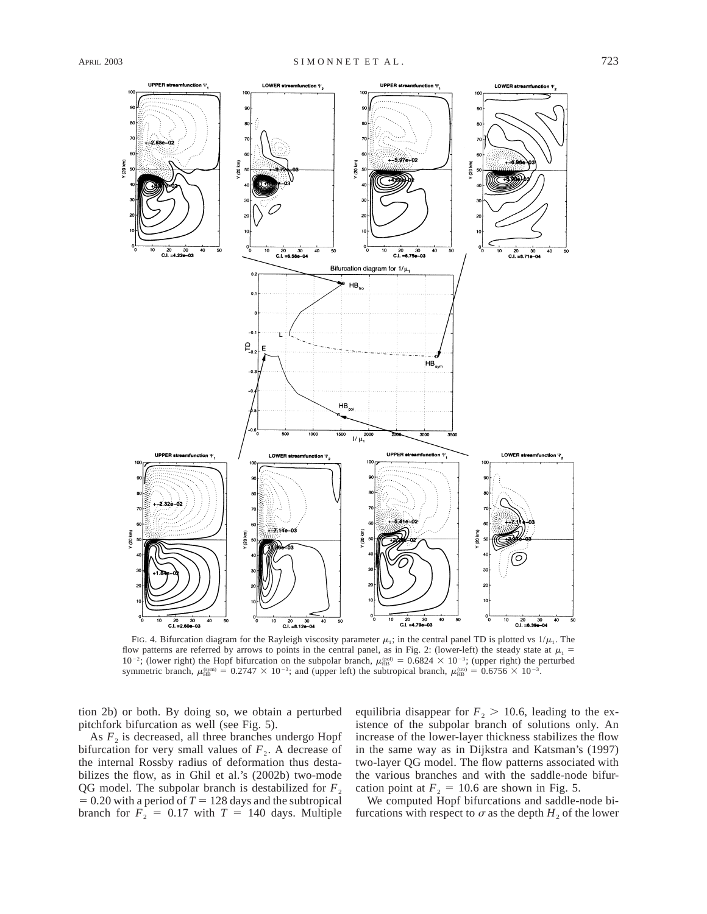

FIG. 4. Bifurcation diagram for the Rayleigh viscosity parameter  $\mu_1$ ; in the central panel TD is plotted vs  $1/\mu_1$ . The flow patterns are referred by arrows to points in the central panel, as in Fig. 2: (lower-left) the steady state at  $\mu_1$  =  $10^{-2}$ ; (lower right) the Hopf bifurcation on the subpolar branch,  $\mu_{HB}^{(p_0)} = 0.6824 \times 10^{-3}$ ; (upper right) the perturbed symmetric branch,  $\mu_{HB}^{(\text{sym})} = 0.2747 \times 10^{-3}$ ; and (upper left) the subtropical branch,  $\mu_{HB}^{(\text{imp})} = 0.6756 \times 10^{-3}$ .

tion 2b) or both. By doing so, we obtain a perturbed pitchfork bifurcation as well (see Fig. 5).

As  $F_2$  is decreased, all three branches undergo Hopf bifurcation for very small values of  $F_2$ . A decrease of the internal Rossby radius of deformation thus destabilizes the flow, as in Ghil et al.'s (2002b) two-mode QG model. The subpolar branch is destabilized for  $F<sub>2</sub>$  $= 0.20$  with a period of  $T = 128$  days and the subtropical branch for  $F_2 = 0.17$  with  $T = 140$  days. Multiple equilibria disappear for  $F_2 > 10.6$ , leading to the existence of the subpolar branch of solutions only. An increase of the lower-layer thickness stabilizes the flow in the same way as in Dijkstra and Katsman's (1997) two-layer QG model. The flow patterns associated with the various branches and with the saddle-node bifurcation point at  $F<sub>2</sub> = 10.6$  are shown in Fig. 5.

We computed Hopf bifurcations and saddle-node bifurcations with respect to  $\sigma$  as the depth  $H_2$  of the lower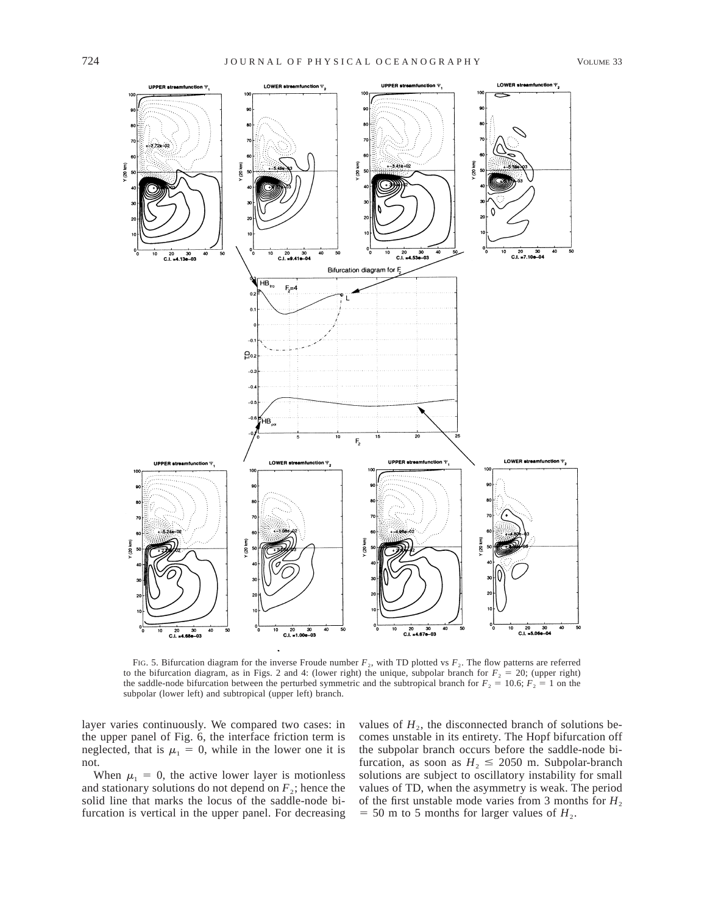

FIG. 5. Bifurcation diagram for the inverse Froude number  $F_2$ , with TD plotted vs  $F_2$ . The flow patterns are referred to the bifurcation diagram, as in Figs. 2 and 4: (lower right) the unique, subpolar branch for  $F<sub>2</sub> = 20$ ; (upper right) the saddle-node bifurcation between the perturbed symmetric and the subtropical branch for  $F_2 = 10.6$ ;  $F_2 = 1$  on the subpolar (lower left) and subtropical (upper left) branch.

layer varies continuously. We compared two cases: in the upper panel of Fig. 6, the interface friction term is neglected, that is  $\mu_1 = 0$ , while in the lower one it is not.

When  $\mu_1 = 0$ , the active lower layer is motionless and stationary solutions do not depend on  $F<sub>2</sub>$ ; hence the solid line that marks the locus of the saddle-node bifurcation is vertical in the upper panel. For decreasing

values of  $H<sub>2</sub>$ , the disconnected branch of solutions becomes unstable in its entirety. The Hopf bifurcation off the subpolar branch occurs before the saddle-node bifurcation, as soon as  $H_2 \le 2050$  m. Subpolar-branch solutions are subject to oscillatory instability for small values of TD, when the asymmetry is weak. The period of the first unstable mode varies from 3 months for  $H_2$  $=$  50 m to 5 months for larger values of  $H_2$ .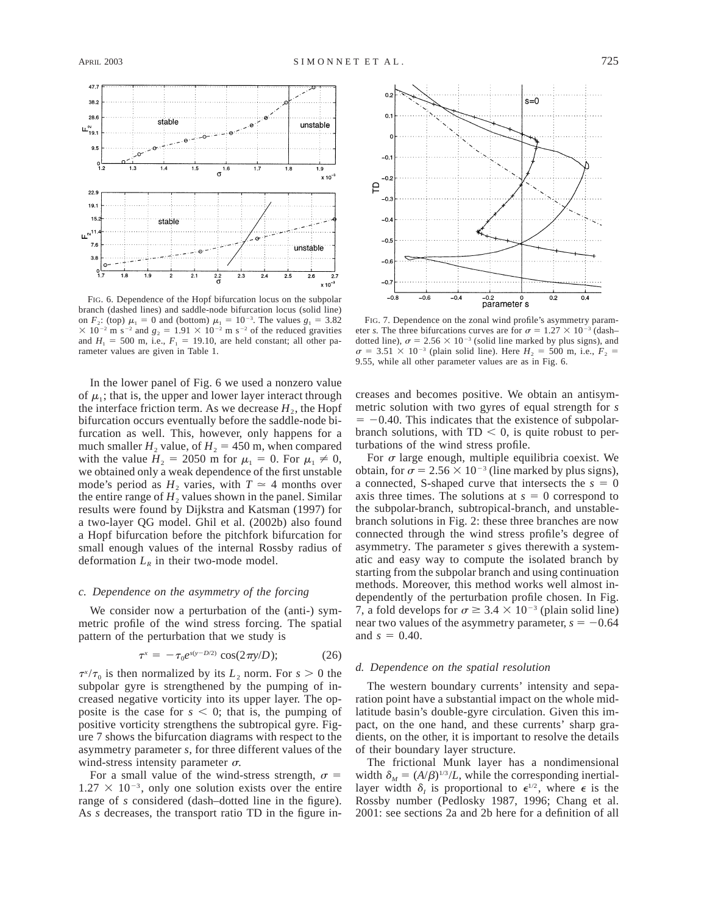

FIG. 6. Dependence of the Hopf bifurcation locus on the subpolar branch (dashed lines) and saddle-node bifurcation locus (solid line) on  $F_2$ : (top)  $\mu_1 = 0$  and (bottom)  $\mu_1 = 10^{-3}$ . The values  $g_1 = 3.82$  $\times$  10<sup>-2</sup> m s<sup>-2</sup> and  $g_2 = 1.91 \times 10^{-2}$  m s<sup>-2</sup> of the reduced gravities and  $H_1 = 500$  m, i.e.,  $F_1 = 19.10$ , are held constant; all other parameter values are given in Table 1.

In the lower panel of Fig. 6 we used a nonzero value of  $\mu_1$ ; that is, the upper and lower layer interact through the interface friction term. As we decrease  $H_2$ , the Hopf bifurcation occurs eventually before the saddle-node bifurcation as well. This, however, only happens for a much smaller  $H_2$  value, of  $H_2 = 450$  m, when compared with the value  $H_2 = 2050$  m for  $\mu_1 = 0$ . For  $\mu_1 \neq 0$ , we obtained only a weak dependence of the first unstable mode's period as  $H_2$  varies, with  $T \approx 4$  months over the entire range of  $H_2$  values shown in the panel. Similar results were found by Dijkstra and Katsman (1997) for a two-layer QG model. Ghil et al. (2002b) also found a Hopf bifurcation before the pitchfork bifurcation for small enough values of the internal Rossby radius of deformation  $L_R$  in their two-mode model.

#### *c. Dependence on the asymmetry of the forcing*

We consider now a perturbation of the (anti-) symmetric profile of the wind stress forcing. The spatial pattern of the perturbation that we study is

$$
\tau^x = -\tau_0 e^{s(y - D/2)} \cos(2\pi y / D); \tag{26}
$$

 $\tau^{x}/\tau_0$  is then normalized by its  $L_2$  norm. For  $s > 0$  the subpolar gyre is strengthened by the pumping of increased negative vorticity into its upper layer. The opposite is the case for  $s < 0$ ; that is, the pumping of positive vorticity strengthens the subtropical gyre. Figure 7 shows the bifurcation diagrams with respect to the asymmetry parameter *s,* for three different values of the wind-stress intensity parameter  $\sigma$ .

For a small value of the wind-stress strength,  $\sigma$  =  $1.27 \times 10^{-3}$ , only one solution exists over the entire range of *s* considered (dash–dotted line in the figure). As *s* decreases, the transport ratio TD in the figure in-



FIG. 7. Dependence on the zonal wind profile's asymmetry parameter *s*. The three bifurcations curves are for  $\sigma = 1.27 \times 10^{-3}$  (dash– dotted line),  $\sigma = 2.56 \times 10^{-3}$  (solid line marked by plus signs), and  $\sigma = 3.51 \times 10^{-3}$  (plain solid line). Here  $H_2 = 500$  m, i.e.,  $F_2 =$ 9.55, while all other parameter values are as in Fig. 6.

creases and becomes positive. We obtain an antisymmetric solution with two gyres of equal strength for *s*  $-0.40$ . This indicates that the existence of subpolarbranch solutions, with  $TD < 0$ , is quite robust to perturbations of the wind stress profile.

For  $\sigma$  large enough, multiple equilibria coexist. We obtain, for  $\sigma = 2.56 \times 10^{-3}$  (line marked by plus signs), a connected, S-shaped curve that intersects the  $s = 0$ axis three times. The solutions at  $s = 0$  correspond to the subpolar-branch, subtropical-branch, and unstablebranch solutions in Fig. 2: these three branches are now connected through the wind stress profile's degree of asymmetry. The parameter *s* gives therewith a systematic and easy way to compute the isolated branch by starting from the subpolar branch and using continuation methods. Moreover, this method works well almost independently of the perturbation profile chosen. In Fig. 7, a fold develops for  $\sigma \ge 3.4 \times 10^{-3}$  (plain solid line) near two values of the asymmetry parameter,  $s = -0.64$ and  $s = 0.40$ .

# *d. Dependence on the spatial resolution*

The western boundary currents' intensity and separation point have a substantial impact on the whole midlatitude basin's double-gyre circulation. Given this impact, on the one hand, and these currents' sharp gradients, on the other, it is important to resolve the details of their boundary layer structure.

The frictional Munk layer has a nondimensional width  $\delta_M = (A/\beta)^{1/3}/L$ , while the corresponding inertiallayer width  $\delta$ <sub>*i*</sub> is proportional to  $\epsilon^{1/2}$ , where  $\epsilon$  is the Rossby number (Pedlosky 1987, 1996; Chang et al. 2001: see sections 2a and 2b here for a definition of all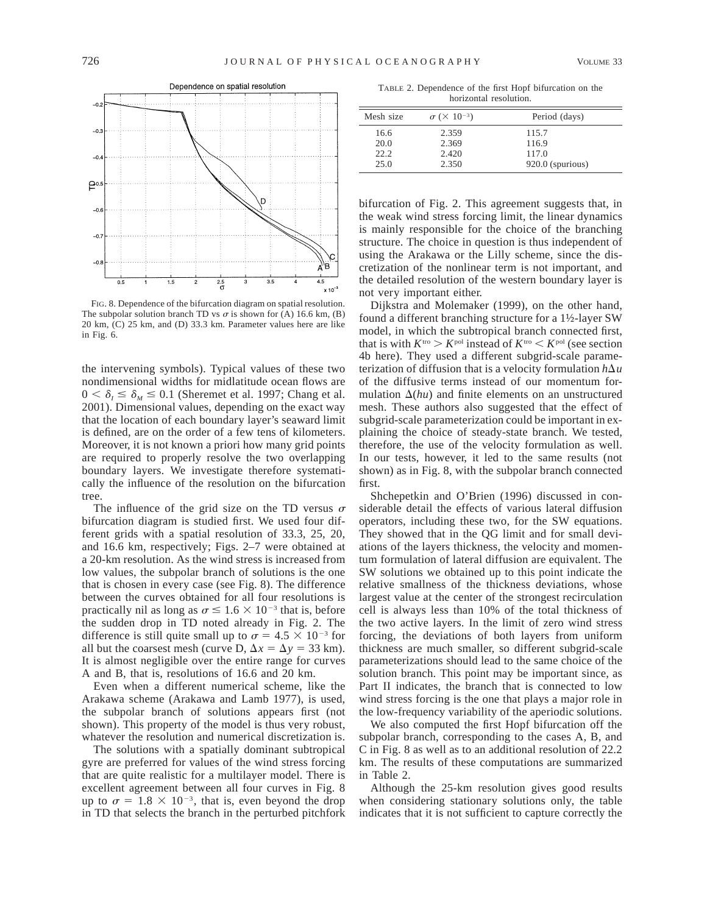

FIG. 8. Dependence of the bifurcation diagram on spatial resolution. The subpolar solution branch TD vs  $\sigma$  is shown for (A) 16.6 km, (B) 20 km, (C) 25 km, and (D) 33.3 km. Parameter values here are like in Fig. 6.

the intervening symbols). Typical values of these two nondimensional widths for midlatitude ocean flows are  $0 < \delta_l \leq \delta_M \leq 0.1$  (Sheremet et al. 1997; Chang et al. 2001). Dimensional values, depending on the exact way that the location of each boundary layer's seaward limit is defined, are on the order of a few tens of kilometers. Moreover, it is not known a priori how many grid points are required to properly resolve the two overlapping boundary layers. We investigate therefore systematically the influence of the resolution on the bifurcation tree.

The influence of the grid size on the TD versus  $\sigma$ bifurcation diagram is studied first. We used four different grids with a spatial resolution of 33.3, 25, 20, and 16.6 km, respectively; Figs. 2–7 were obtained at a 20-km resolution. As the wind stress is increased from low values, the subpolar branch of solutions is the one that is chosen in every case (see Fig. 8). The difference between the curves obtained for all four resolutions is practically nil as long as  $\sigma \leq 1.6 \times 10^{-3}$  that is, before the sudden drop in TD noted already in Fig. 2. The difference is still quite small up to  $\sigma = 4.5 \times 10^{-3}$  for all but the coarsest mesh (curve D,  $\Delta x = \Delta y = 33$  km). It is almost negligible over the entire range for curves A and B, that is, resolutions of 16.6 and 20 km.

Even when a different numerical scheme, like the Arakawa scheme (Arakawa and Lamb 1977), is used, the subpolar branch of solutions appears first (not shown). This property of the model is thus very robust, whatever the resolution and numerical discretization is.

The solutions with a spatially dominant subtropical gyre are preferred for values of the wind stress forcing that are quite realistic for a multilayer model. There is excellent agreement between all four curves in Fig. 8 up to  $\sigma = 1.8 \times 10^{-3}$ , that is, even beyond the drop in TD that selects the branch in the perturbed pitchfork

TABLE 2. Dependence of the first Hopf bifurcation on the horizontal resolution.

| Mesh size | $\sigma$ ( $\times$ 10 <sup>-3</sup> ) | Period (days)    |
|-----------|----------------------------------------|------------------|
| 16.6      | 2.359                                  | 115.7            |
| 20.0      | 2.369                                  | 116.9            |
| 22.2      | 2.420                                  | 117.0            |
| 25.0      | 2.350                                  | 920.0 (spurious) |

bifurcation of Fig. 2. This agreement suggests that, in the weak wind stress forcing limit, the linear dynamics is mainly responsible for the choice of the branching structure. The choice in question is thus independent of using the Arakawa or the Lilly scheme, since the discretization of the nonlinear term is not important, and the detailed resolution of the western boundary layer is not very important either.

Dijkstra and Molemaker (1999), on the other hand, found a different branching structure for a 1½-layer SW model, in which the subtropical branch connected first, that is with  $K^{\text{tro}} > K^{\text{pol}}$  instead of  $K^{\text{tro}} < K^{\text{pol}}$  (see section 4b here). They used a different subgrid-scale parameterization of diffusion that is a velocity formulation  $h\Delta u$ of the diffusive terms instead of our momentum formulation  $\Delta(hu)$  and finite elements on an unstructured mesh. These authors also suggested that the effect of subgrid-scale parameterization could be important in explaining the choice of steady-state branch. We tested, therefore, the use of the velocity formulation as well. In our tests, however, it led to the same results (not shown) as in Fig. 8, with the subpolar branch connected first.

Shchepetkin and O'Brien (1996) discussed in considerable detail the effects of various lateral diffusion operators, including these two, for the SW equations. They showed that in the QG limit and for small deviations of the layers thickness, the velocity and momentum formulation of lateral diffusion are equivalent. The SW solutions we obtained up to this point indicate the relative smallness of the thickness deviations, whose largest value at the center of the strongest recirculation cell is always less than 10% of the total thickness of the two active layers. In the limit of zero wind stress forcing, the deviations of both layers from uniform thickness are much smaller, so different subgrid-scale parameterizations should lead to the same choice of the solution branch. This point may be important since, as Part II indicates, the branch that is connected to low wind stress forcing is the one that plays a major role in the low-frequency variability of the aperiodic solutions.

We also computed the first Hopf bifurcation off the subpolar branch, corresponding to the cases A, B, and C in Fig. 8 as well as to an additional resolution of 22.2 km. The results of these computations are summarized in Table 2.

Although the 25-km resolution gives good results when considering stationary solutions only, the table indicates that it is not sufficient to capture correctly the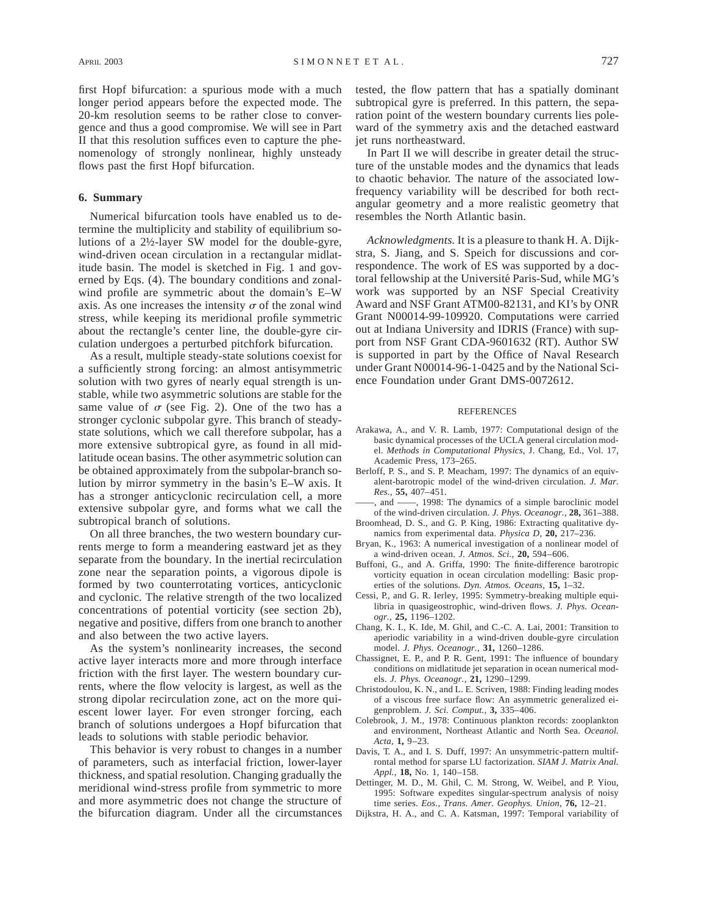first Hopf bifurcation: a spurious mode with a much longer period appears before the expected mode. The 20-km resolution seems to be rather close to convergence and thus a good compromise. We will see in Part II that this resolution suffices even to capture the phenomenology of strongly nonlinear, highly unsteady flows past the first Hopf bifurcation.

# **6. Summary**

Numerical bifurcation tools have enabled us to determine the multiplicity and stability of equilibrium solutions of a 2½-layer SW model for the double-gyre, wind-driven ocean circulation in a rectangular midlatitude basin. The model is sketched in Fig. 1 and governed by Eqs. (4). The boundary conditions and zonalwind profile are symmetric about the domain's E–W axis. As one increases the intensity  $\sigma$  of the zonal wind stress, while keeping its meridional profile symmetric about the rectangle's center line, the double-gyre circulation undergoes a perturbed pitchfork bifurcation.

As a result, multiple steady-state solutions coexist for a sufficiently strong forcing: an almost antisymmetric solution with two gyres of nearly equal strength is unstable, while two asymmetric solutions are stable for the same value of  $\sigma$  (see Fig. 2). One of the two has a stronger cyclonic subpolar gyre. This branch of steadystate solutions, which we call therefore subpolar, has a more extensive subtropical gyre, as found in all midlatitude ocean basins. The other asymmetric solution can be obtained approximately from the subpolar-branch solution by mirror symmetry in the basin's E–W axis. It has a stronger anticyclonic recirculation cell, a more extensive subpolar gyre, and forms what we call the subtropical branch of solutions.

On all three branches, the two western boundary currents merge to form a meandering eastward jet as they separate from the boundary. In the inertial recirculation zone near the separation points, a vigorous dipole is formed by two counterrotating vortices, anticyclonic and cyclonic. The relative strength of the two localized concentrations of potential vorticity (see section 2b), negative and positive, differs from one branch to another and also between the two active layers.

As the system's nonlinearity increases, the second active layer interacts more and more through interface friction with the first layer. The western boundary currents, where the flow velocity is largest, as well as the strong dipolar recirculation zone, act on the more quiescent lower layer. For even stronger forcing, each branch of solutions undergoes a Hopf bifurcation that leads to solutions with stable periodic behavior.

This behavior is very robust to changes in a number of parameters, such as interfacial friction, lower-layer thickness, and spatial resolution. Changing gradually the meridional wind-stress profile from symmetric to more and more asymmetric does not change the structure of the bifurcation diagram. Under all the circumstances tested, the flow pattern that has a spatially dominant subtropical gyre is preferred. In this pattern, the separation point of the western boundary currents lies poleward of the symmetry axis and the detached eastward jet runs northeastward.

In Part II we will describe in greater detail the structure of the unstable modes and the dynamics that leads to chaotic behavior. The nature of the associated lowfrequency variability will be described for both rectangular geometry and a more realistic geometry that resembles the North Atlantic basin.

*Acknowledgments.* It is a pleasure to thank H. A. Dijkstra, S. Jiang, and S. Speich for discussions and correspondence. The work of ES was supported by a doctoral fellowship at the Université Paris-Sud, while MG's work was supported by an NSF Special Creativity Award and NSF Grant ATM00-82131, and KI's by ONR Grant N00014-99-109920. Computations were carried out at Indiana University and IDRIS (France) with support from NSF Grant CDA-9601632 (RT). Author SW is supported in part by the Office of Naval Research under Grant N00014-96-1-0425 and by the National Science Foundation under Grant DMS-0072612.

#### **REFERENCES**

- Arakawa, A., and V. R. Lamb, 1977: Computational design of the basic dynamical processes of the UCLA general circulation model. *Methods in Computational Physics,* J. Chang, Ed., Vol. 17, Academic Press, 173–265.
- Berloff, P. S., and S. P. Meacham, 1997: The dynamics of an equivalent-barotropic model of the wind-driven circulation. *J. Mar. Res.,* **55,** 407–451.
- ——, and ——, 1998: The dynamics of a simple baroclinic model of the wind-driven circulation. *J. Phys. Oceanogr.,* **28,** 361–388.
- Broomhead, D. S., and G. P. King, 1986: Extracting qualitative dynamics from experimental data. *Physica D,* **20,** 217–236.
- Bryan, K., 1963: A numerical investigation of a nonlinear model of a wind-driven ocean. *J. Atmos. Sci.,* **20,** 594–606.
- Buffoni, G., and A. Griffa, 1990: The finite-difference barotropic vorticity equation in ocean circulation modelling: Basic properties of the solutions. *Dyn. Atmos. Oceans,* **15,** 1–32.
- Cessi, P., and G. R. Ierley, 1995: Symmetry-breaking multiple equilibria in quasigeostrophic, wind-driven flows. *J. Phys. Oceanogr.,* **25,** 1196–1202.
- Chang, K. I., K. Ide, M. Ghil, and C.-C. A. Lai, 2001: Transition to aperiodic variability in a wind-driven double-gyre circulation model. *J. Phys. Oceanogr.,* **31,** 1260–1286.
- Chassignet, E. P., and P. R. Gent, 1991: The influence of boundary conditions on midlatitude jet separation in ocean numerical models. *J. Phys. Oceanogr.,* **21,** 1290–1299.
- Christodoulou, K. N., and L. E. Scriven, 1988: Finding leading modes of a viscous free surface flow: An asymmetric generalized eigenproblem. *J. Sci. Comput.,* **3,** 335–406.
- Colebrook, J. M., 1978: Continuous plankton records: zooplankton and environment, Northeast Atlantic and North Sea. *Oceanol. Acta,* **1,** 9–23.
- Davis, T. A., and I. S. Duff, 1997: An unsymmetric-pattern multifrontal method for sparse LU factorization. *SIAM J. Matrix Anal. Appl.,* **18,** No. 1, 140–158.
- Dettinger, M. D., M. Ghil, C. M. Strong, W. Weibel, and P. Yiou, 1995: Software expedites singular-spectrum analysis of noisy time series. *Eos., Trans. Amer. Geophys. Union,* **76,** 12–21.
- Dijkstra, H. A., and C. A. Katsman, 1997: Temporal variability of